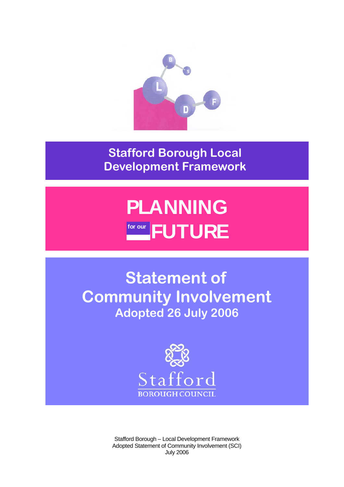

**Stafford Borough Local Development Framework**



# **Statement of Community Involvement Adopted 26 July 2006**

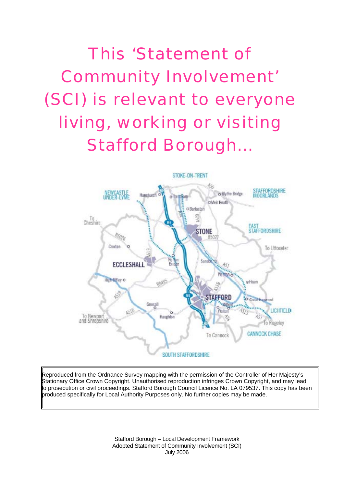# This 'Statement of Community Involvement' (SCI) is relevant to everyone living, working or visiting Stafford Borough…



Reproduced from the Ordnance Survey mapping with the permission of the Controller of Her Majesty's Stationary Office Crown Copyright. Unauthorised reproduction infringes Crown Copyright, and may lead to prosecution or civil proceedings. Stafford Borough Council Licence No. LA 079537. This copy has been produced specifically for Local Authority Purposes only. No further copies may be made.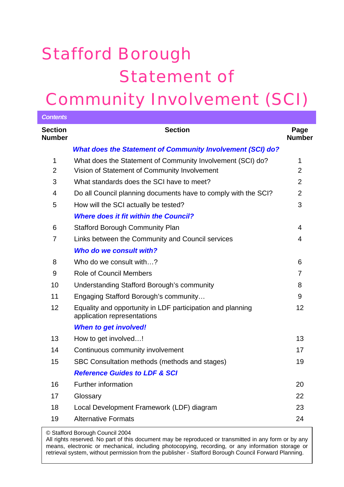# Stafford Borough Statement of

# Community Involvement (SCI)

| <b>Contents</b>                 |                                                                                           |                       |
|---------------------------------|-------------------------------------------------------------------------------------------|-----------------------|
| <b>Section</b><br><b>Number</b> | <b>Section</b>                                                                            | Page<br><b>Number</b> |
|                                 | <b>What does the Statement of Community Involvement (SCI) do?</b>                         |                       |
| 1                               | What does the Statement of Community Involvement (SCI) do?                                | 1                     |
| 2                               | Vision of Statement of Community Involvement                                              | $\overline{2}$        |
| 3                               | What standards does the SCI have to meet?                                                 | $\overline{2}$        |
| 4                               | Do all Council planning documents have to comply with the SCI?                            | 2                     |
| 5                               | How will the SCI actually be tested?                                                      | 3                     |
|                                 | <b>Where does it fit within the Council?</b>                                              |                       |
| 6                               | <b>Stafford Borough Community Plan</b>                                                    | 4                     |
| 7                               | Links between the Community and Council services                                          | 4                     |
|                                 | Who do we consult with?                                                                   |                       |
| 8                               | Who do we consult with?                                                                   | 6                     |
| 9                               | <b>Role of Council Members</b>                                                            | $\overline{7}$        |
| 10                              | <b>Understanding Stafford Borough's community</b>                                         | 8                     |
| 11                              | Engaging Stafford Borough's community                                                     | 9                     |
| 12                              | Equality and opportunity in LDF participation and planning<br>application representations | 12                    |
|                                 | <b>When to get involved!</b>                                                              |                       |
| 13                              | How to get involved!                                                                      | 13                    |
| 14                              | Continuous community involvement                                                          | 17                    |
| 15                              | SBC Consultation methods (methods and stages)                                             | 19                    |
|                                 | <b>Reference Guides to LDF &amp; SCI</b>                                                  |                       |
| 16                              | <b>Further information</b>                                                                | 20                    |
| 17                              | Glossary                                                                                  | 22                    |
| 18                              | Local Development Framework (LDF) diagram                                                 | 23                    |
| 19                              | <b>Alternative Formats</b>                                                                | 24                    |
|                                 |                                                                                           |                       |

#### © Stafford Borough Council 2004

All rights reserved. No part of this document may be reproduced or transmitted in any form or by any means, electronic or mechanical, including photocopying, recording, or any information storage or retrieval system, without permission from the publisher - Stafford Borough Council Forward Planning.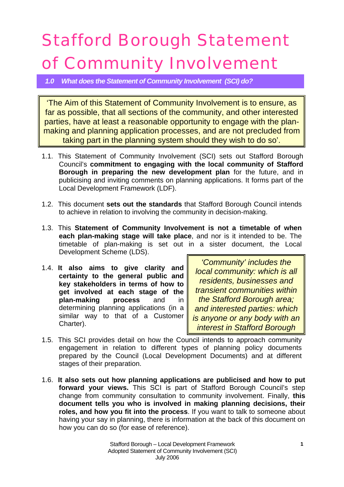# Stafford Borough Statement of Community Involvement

*1.0 What does the Statement of Community Involvement (SCI) do?*

'The Aim of this Statement of Community Involvement is to ensure, as far as possible, that all sections of the community, and other interested parties, have at least a reasonable opportunity to engage with the planmaking and planning application processes, and are not precluded from taking part in the planning system should they wish to do so'.

- 1.1. This Statement of Community Involvement (SCI) sets out Stafford Borough Council's **commitment to engaging with the local community of Stafford Borough in preparing the new development plan** for the future, and in publicising and inviting comments on planning applications. It forms part of the Local Development Framework (LDF).
- 1.2. This document **sets out the standards** that Stafford Borough Council intends to achieve in relation to involving the community in decision-making.
- 1.3. This **Statement of Community Involvement is not a timetable of when each plan-making stage will take place**, and nor is it intended to be. The timetable of plan-making is set out in a sister document, the Local Development Scheme (LDS).
- 1.4. **It also aims to give clarity and certainty to the general public and key stakeholders in terms of how to get involved at each stage of the plan-making process** and in determining planning applications (in a similar way to that of a Customer Charter).

*'Community' includes the local community: which is all residents, businesses and transient communities within the Stafford Borough area; and interested parties: which is anyone or any body with an interest in Stafford Borough*

- 1.5. This SCI provides detail on how the Council intends to approach community engagement in relation to different types of planning policy documents prepared by the Council (Local Development Documents) and at different stages of their preparation.
- 1.6. **It also sets out how planning applications are publicised and how to put forward your views.** This SCI is part of Stafford Borough Council's step change from community consultation to community involvement. Finally, **this document tells you who is involved in making planning decisions, their roles, and how you fit into the process**. If you want to talk to someone about having your say in planning, there is information at the back of this document on how you can do so (for ease of reference).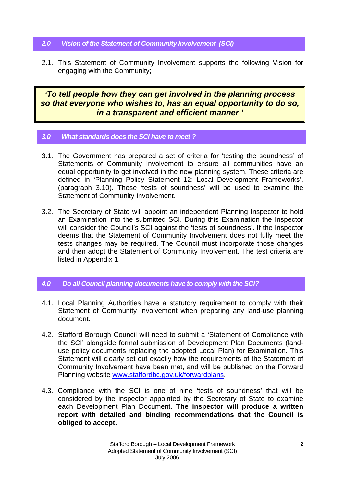#### *2.0 Vision of the Statement of Community Involvement (SCI)*

2.1. This Statement of Community Involvement supports the following Vision for engaging with the Community;

*'To tell people how they can get involved in the planning process so that everyone who wishes to, has an equal opportunity to do so, in a transparent and efficient manner '*

#### *3.0 What standards does the SCI have to meet ?*

- 3.1. The Government has prepared a set of criteria for 'testing the soundness' of Statements of Community Involvement to ensure all communities have an equal opportunity to get involved in the new planning system. These criteria are defined in 'Planning Policy Statement 12: Local Development Frameworks', (paragraph 3.10). These 'tests of soundness' will be used to examine the Statement of Community Involvement.
- 3.2. The Secretary of State will appoint an independent Planning Inspector to hold an Examination into the submitted SCI. During this Examination the Inspector will consider the Council's SCI against the 'tests of soundness'. If the Inspector deems that the Statement of Community Involvement does not fully meet the tests changes may be required. The Council must incorporate those changes and then adopt the Statement of Community Involvement. The test criteria are listed in Appendix 1.

#### *4.0 Do all Council planning documents have to comply with the SCI?*

- 4.1. Local Planning Authorities have a statutory requirement to comply with their Statement of Community Involvement when preparing any land-use planning document.
- 4.2. Stafford Borough Council will need to submit a 'Statement of Compliance with the SCI' alongside formal submission of Development Plan Documents (landuse policy documents replacing the adopted Local Plan) for Examination. This Statement will clearly set out exactly how the requirements of the Statement of Community Involvement have been met, and will be published on the Forward Planning website [www.staffordbc.gov.uk/forwardplans](http://www.staffordbc.gov.uk/forwardplans).
- 4.3. Compliance with the SCI is one of nine 'tests of soundness' that will be considered by the inspector appointed by the Secretary of State to examine each Development Plan Document. **The inspector will produce a written report with detailed and binding recommendations that the Council is obliged to accept.**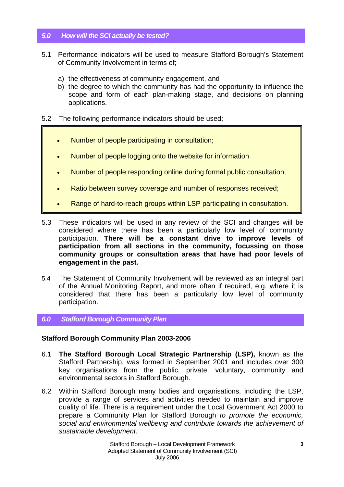#### *5.0 How will the SCI actually be tested?*

- 5.1 Performance indicators will be used to measure Stafford Borough's Statement of Community Involvement in terms of;
	- a) the effectiveness of community engagement, and
	- b) the degree to which the community has had the opportunity to influence the scope and form of each plan-making stage, and decisions on planning applications.

#### 5.2 The following performance indicators should be used;

- Number of people participating in consultation;
- Number of people logging onto the website for information
- Number of people responding online during formal public consultation;
- Ratio between survey coverage and number of responses received;
- Range of hard-to-reach groups within LSP participating in consultation.
- 5.3 These indicators will be used in any review of the SCI and changes will be considered where there has been a particularly low level of community participation. **There will be a constant drive to improve levels of participation from all sections in the community, focussing on those community groups or consultation areas that have had poor levels of engagement in the past.**
- 5.4 The Statement of Community Involvement will be reviewed as an integral part of the Annual Monitoring Report, and more often if required, e.g. where it is considered that there has been a particularly low level of community participation.

#### *6.0 Stafford Borough Community Plan*

#### **Stafford Borough Community Plan 2003-2006**

- 6.1 **The Stafford Borough Local Strategic Partnership (LSP),** known as the Stafford Partnership, was formed in September 2001 and includes over 300 key organisations from the public, private, voluntary, community and environmental sectors in Stafford Borough.
- 6.2 Within Stafford Borough many bodies and organisations, including the LSP, provide a range of services and activities needed to maintain and improve quality of life. There is a requirement under the Local Government Act 2000 to prepare a Community Plan for Stafford Borough *to promote the economic, social and environmental wellbeing and contribute towards the achievement of sustainable development*.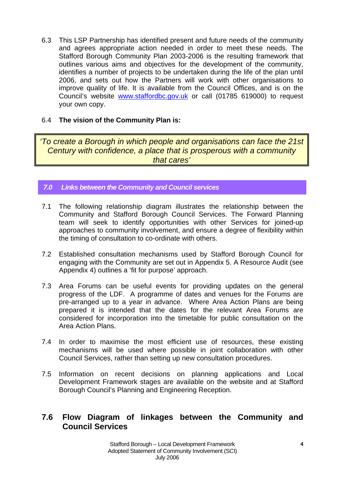6.3 This LSP Partnership has identified present and future needs of the community and agrees appropriate action needed in order to meet these needs. The Stafford Borough Community Plan 2003-2006 is the resulting framework that outlines various aims and objectives for the development of the community, identifies a number of projects to be undertaken during the life of the plan until 2006, and sets out how the Partners will work with other organisations to improve quality of life. It is available from the Council Offices, and is on the Council's website [www.staffordbc.gov.uk](http://www.staffordbc.gov.uk/) or call (01785 619000) to request your own copy.

#### 6.4 **The vision of the Community Plan is:**

*'To create a Borough in which people and organisations can face the 21st Century with confidence, a place that is prosperous with a community that cares'*

- *7.0 Links between the Community and Council services*
- 7.1 The following relationship diagram illustrates the relationship between the Community and Stafford Borough Council Services. The Forward Planning team will seek to identify opportunities with other Services for joined-up approaches to community involvement, and ensure a degree of flexibility within the timing of consultation to co-ordinate with others.
- 7.2 Established consultation mechanisms used by Stafford Borough Council for engaging with the Community are set out in Appendix 5. A Resource Audit (see Appendix 4) outlines a 'fit for purpose' approach.
- 7.3 Area Forums can be useful events for providing updates on the general progress of the LDF. A programme of dates and venues for the Forums are pre-arranged up to a year in advance. Where Area Action Plans are being prepared it is intended that the dates for the relevant Area Forums are considered for incorporation into the timetable for public consultation on the Area Action Plans.
- 7.4 In order to maximise the most efficient use of resources, these existing mechanisms will be used where possible in joint collaboration with other Council Services, rather than setting up new consultation procedures.
- 7.5 Information on recent decisions on planning applications and Local Development Framework stages are available on the website and at Stafford Borough Council's Planning and Engineering Reception.

#### **7.6 Flow Diagram of linkages between the Community and Council Services**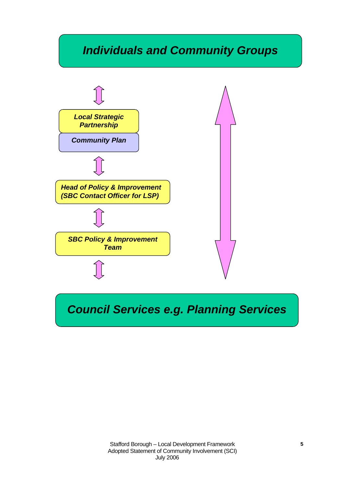## *Individuals and Community Groups*



*Council Services e.g. Planning Services*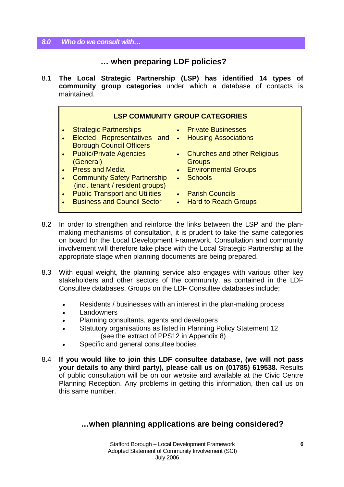#### **… when preparing LDF policies?**

8.1 **The Local Strategic Partnership (LSP) has identified 14 types of community group categories** under which a database of contacts is maintained.

| <b>LSP COMMUNITY GROUP CATEGORIES</b>                                               |                                                       |  |  |  |  |
|-------------------------------------------------------------------------------------|-------------------------------------------------------|--|--|--|--|
| <b>Strategic Partnerships</b><br>Elected Representatives and • Housing Associations | <b>Private Businesses</b><br>$\bullet$                |  |  |  |  |
| <b>Borough Council Officers</b><br><b>Public/Private Agencies</b>                   | • Churches and other Religious                        |  |  |  |  |
| (General)                                                                           | <b>Groups</b>                                         |  |  |  |  |
| <b>Press and Media</b><br><b>Community Safety Partnership</b>                       | • Environmental Groups<br><b>Schools</b><br>$\bullet$ |  |  |  |  |
| (incl. tenant / resident groups)<br><b>Public Transport and Utilities</b>           | <b>Parish Councils</b><br>$\bullet$                   |  |  |  |  |
| <b>Business and Council Sector</b>                                                  | • Hard to Reach Groups                                |  |  |  |  |

- 8.2 In order to strengthen and reinforce the links between the LSP and the planmaking mechanisms of consultation, it is prudent to take the same categories on board for the Local Development Framework. Consultation and community involvement will therefore take place with the Local Strategic Partnership at the appropriate stage when planning documents are being prepared.
- 8.3 With equal weight, the planning service also engages with various other key stakeholders and other sectors of the community, as contained in the LDF Consultee databases. Groups on the LDF Consultee databases include;
	- Residents / businesses with an interest in the plan-making process
	- **Landowners**
	- Planning consultants, agents and developers
	- Statutory organisations as listed in Planning Policy Statement 12 (see the extract of PPS12 in Appendix 8)
	- Specific and general consultee bodies
- 8.4 **If you would like to join this LDF consultee database, (we will not pass your details to any third party), please call us on (01785) 619538.** Results of public consultation will be on our website and available at the Civic Centre Planning Reception. Any problems in getting this information, then call us on this same number.

#### **…when planning applications are being considered?**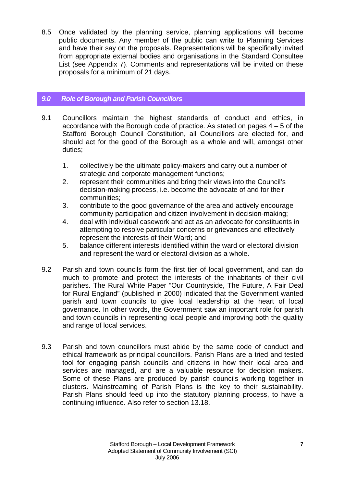8.5 Once validated by the planning service, planning applications will become public documents. Any member of the public can write to Planning Services and have their say on the proposals. Representations will be specifically invited from appropriate external bodies and organisations in the Standard Consultee List (see Appendix 7). Comments and representations will be invited on these proposals for a minimum of 21 days.

#### *9.0 Role of Borough and Parish Councillors*

- 9.1 Councillors maintain the highest standards of conduct and ethics, in accordance with the Borough code of practice. As stated on pages  $4 - 5$  of the Stafford Borough Council Constitution, all Councillors are elected for, and should act for the good of the Borough as a whole and will, amongst other duties;
	- 1. collectively be the ultimate policy-makers and carry out a number of strategic and corporate management functions;
	- 2. represent their communities and bring their views into the Council's decision-making process, i.e. become the advocate of and for their communities;
	- 3. contribute to the good governance of the area and actively encourage community participation and citizen involvement in decision-making;
	- 4. deal with individual casework and act as an advocate for constituents in attempting to resolve particular concerns or grievances and effectively represent the interests of their Ward; and
	- 5. balance different interests identified within the ward or electoral division and represent the ward or electoral division as a whole.
- 9.2 Parish and town councils form the first tier of local government, and can do much to promote and protect the interests of the inhabitants of their civil parishes. The Rural White Paper "Our Countryside, The Future, A Fair Deal for Rural England" (published in 2000) indicated that the Government wanted parish and town councils to give local leadership at the heart of local governance. In other words, the Government saw an important role for parish and town councils in representing local people and improving both the quality and range of local services.
- 9.3 Parish and town councillors must abide by the same code of conduct and ethical framework as principal councillors. Parish Plans are a tried and tested tool for engaging parish councils and citizens in how their local area and services are managed, and are a valuable resource for decision makers. Some of these Plans are produced by parish councils working together in clusters. Mainstreaming of Parish Plans is the key to their sustainability. Parish Plans should feed up into the statutory planning process, to have a continuing influence. Also refer to section 13.18.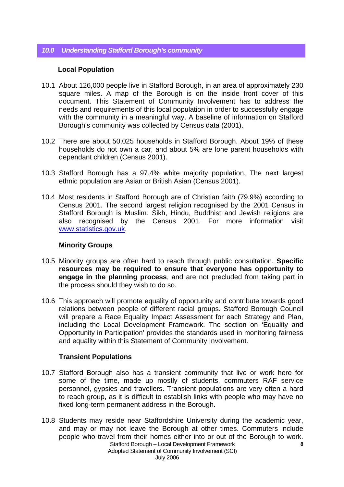#### *10.0 Understanding Stafford Borough's community*

#### **Local Population**

- 10.1 About 126,000 people live in Stafford Borough, in an area of approximately 230 square miles. A map of the Borough is on the inside front cover of this document. This Statement of Community Involvement has to address the needs and requirements of this local population in order to successfully engage with the community in a meaningful way. A baseline of information on Stafford Borough's community was collected by Census data (2001).
- 10.2 There are about 50,025 households in Stafford Borough. About 19% of these households do not own a car, and about 5% are lone parent households with dependant children (Census 2001).
- 10.3 Stafford Borough has a 97.4% white majority population. The next largest ethnic population are Asian or British Asian (Census 2001).
- 10.4 Most residents in Stafford Borough are of Christian faith (79.9%) according to Census 2001. The second largest religion recognised by the 2001 Census in Stafford Borough is Muslim. Sikh, Hindu, Buddhist and Jewish religions are also recognised by the Census 2001. For more information visit [www.statistics.gov.uk](http://www.statistics.gov.uk/).

#### **Minority Groups**

- 10.5 Minority groups are often hard to reach through public consultation. **Specific resources may be required to ensure that everyone has opportunity to engage in the planning process**, and are not precluded from taking part in the process should they wish to do so.
- 10.6 This approach will promote equality of opportunity and contribute towards good relations between people of different racial groups. Stafford Borough Council will prepare a Race Equality Impact Assessment for each Strategy and Plan, including the Local Development Framework. The section on 'Equality and Opportunity in Participation' provides the standards used in monitoring fairness and equality within this Statement of Community Involvement.

#### **Transient Populations**

- 10.7 Stafford Borough also has a transient community that live or work here for some of the time, made up mostly of students, commuters RAF service personnel, gypsies and travellers. Transient populations are very often a hard to reach group, as it is difficult to establish links with people who may have no fixed long-term permanent address in the Borough.
- Stafford Borough Local Development Framework **8** 10.8 Students may reside near Staffordshire University during the academic year, and may or may not leave the Borough at other times. Commuters include people who travel from their homes either into or out of the Borough to work. Adopted Statement of Community Involvement (SCI)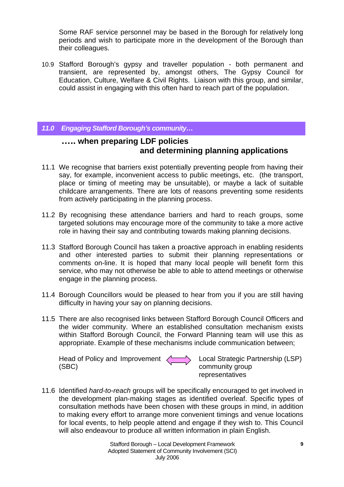Some RAF service personnel may be based in the Borough for relatively long periods and wish to participate more in the development of the Borough than their colleagues.

10.9 Stafford Borough's gypsy and traveller population - both permanent and transient, are represented by, amongst others, The Gypsy Council for Education, Culture, Welfare & Civil Rights. Liaison with this group, and similar, could assist in engaging with this often hard to reach part of the population.

#### *11.0 Engaging Stafford Borough's community…*

### **….. when preparing LDF policies and determining planning applications**

- 11.1 We recognise that barriers exist potentially preventing people from having their say, for example, inconvenient access to public meetings, etc. (the transport, place or timing of meeting may be unsuitable), or maybe a lack of suitable childcare arrangements. There are lots of reasons preventing some residents from actively participating in the planning process.
- 11.2 By recognising these attendance barriers and hard to reach groups, some targeted solutions may encourage more of the community to take a more active role in having their say and contributing towards making planning decisions.
- 11.3 Stafford Borough Council has taken a proactive approach in enabling residents and other interested parties to submit their planning representations or comments on-line. It is hoped that many local people will benefit form this service, who may not otherwise be able to able to attend meetings or otherwise engage in the planning process.
- 11.4 Borough Councillors would be pleased to hear from you if you are still having difficulty in having your say on planning decisions.
- 11.5 There are also recognised links between Stafford Borough Council Officers and the wider community. Where an established consultation mechanism exists within Stafford Borough Council, the Forward Planning team will use this as appropriate. Example of these mechanisms include communication between;

Head of Policy and Improvement Local Strategic Partnership (LSP) (SBC) community group

representatives

11.6 Identified *hard-to-reach* groups will be specifically encouraged to get involved in the development plan-making stages as identified overleaf. Specific types of consultation methods have been chosen with these groups in mind, in addition to making every effort to arrange more convenient timings and venue locations for local events, to help people attend and engage if they wish to. This Council will also endeavour to produce all written information in plain English.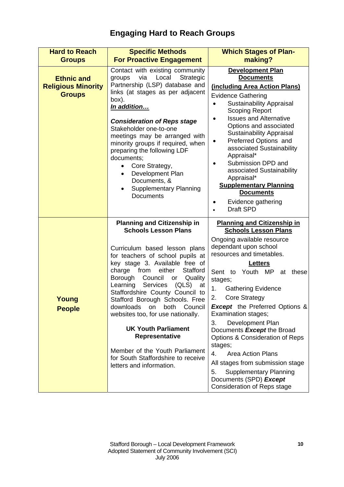## **Engaging Hard to Reach Groups**

| <b>Hard to Reach</b><br><b>Groups</b>                           | <b>Specific Methods</b><br><b>For Proactive Engagement</b>                                                                                                                                                                                                                                                                                                                | <b>Which Stages of Plan-</b><br>making?                                                                                                                                                                                                                                                                                             |  |  |  |
|-----------------------------------------------------------------|---------------------------------------------------------------------------------------------------------------------------------------------------------------------------------------------------------------------------------------------------------------------------------------------------------------------------------------------------------------------------|-------------------------------------------------------------------------------------------------------------------------------------------------------------------------------------------------------------------------------------------------------------------------------------------------------------------------------------|--|--|--|
| <b>Ethnic and</b><br><b>Religious Minority</b><br><b>Groups</b> | Contact with existing community<br>Local<br>via<br>Strategic<br>groups<br>Partnership (LSP) database and<br>links (at stages as per adjacent<br>box).<br>In addition                                                                                                                                                                                                      | <b>Development Plan</b><br><b>Documents</b><br>(including Area Action Plans)<br><b>Evidence Gathering</b><br><b>Sustainability Appraisal</b><br>$\bullet$<br><b>Scoping Report</b><br><b>Issues and Alternative</b>                                                                                                                 |  |  |  |
|                                                                 | <b>Consideration of Reps stage</b><br>Stakeholder one-to-one<br>meetings may be arranged with<br>minority groups if required, when<br>preparing the following LDF<br>documents;<br>Core Strategy,<br>$\bullet$<br>Development Plan<br>$\bullet$<br>Documents, &<br><b>Supplementary Planning</b><br><b>Documents</b>                                                      | Options and associated<br><b>Sustainability Appraisal</b><br>Preferred Options and<br>associated Sustainability<br>Appraisal*<br>Submission DPD and<br>associated Sustainability<br>Appraisal*<br><b>Supplementary Planning</b><br><b>Documents</b><br>Evidence gathering<br><b>Draft SPD</b><br><b>Planning and Citizenship in</b> |  |  |  |
|                                                                 | <b>Planning and Citizenship in</b><br><b>Schools Lesson Plans</b>                                                                                                                                                                                                                                                                                                         | <b>Schools Lesson Plans</b>                                                                                                                                                                                                                                                                                                         |  |  |  |
| Young<br><b>People</b>                                          | Curriculum based lesson plans<br>for teachers of school pupils at<br>key stage 3. Available free of<br>from<br>either<br>Stafford<br>charge<br>Council<br>Quality<br>Borough<br>or<br>Learning<br>Services<br>(QLS)<br>at<br>Staffordshire County Council to<br>Stafford Borough Schools. Free<br>downloads<br>on<br>both<br>Council<br>websites too, for use nationally. | Ongoing available resource<br>dependant upon school<br>resources and timetables.<br><b>Letters</b><br>Sent to Youth MP<br>at<br>these<br>stages;<br>1.<br><b>Gathering Evidence</b><br><b>Core Strategy</b><br>2.<br><b>Except</b> the Preferred Options &<br>Examination stages;                                                   |  |  |  |
|                                                                 | <b>UK Youth Parliament</b><br><b>Representative</b>                                                                                                                                                                                                                                                                                                                       | Development Plan<br>3.<br>Documents <b>Except</b> the Broad<br><b>Options &amp; Consideration of Reps</b><br>stages;                                                                                                                                                                                                                |  |  |  |
|                                                                 | Member of the Youth Parliament<br>for South Staffordshire to receive<br>letters and information.                                                                                                                                                                                                                                                                          | 4.<br><b>Area Action Plans</b><br>All stages from submission stage<br><b>Supplementary Planning</b><br>5.<br>Documents (SPD) Except<br><b>Consideration of Reps stage</b>                                                                                                                                                           |  |  |  |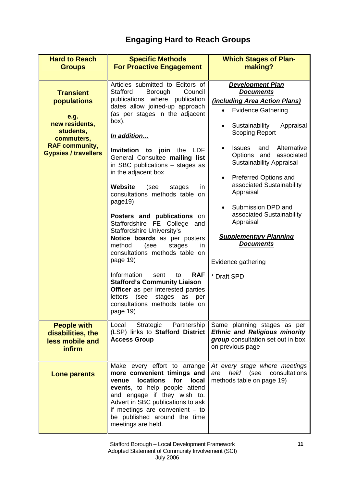## **Engaging Hard to Reach Groups**

| <b>Hard to Reach</b><br><b>Groups</b>                                                                                                        | <b>Specific Methods</b><br><b>For Proactive Engagement</b>                                                                                                                                                                                                                                                                                                                                                                                                                                                                                                                                                                                                                                                                                                                                                                                                                            | <b>Which Stages of Plan-</b><br>making?                                                                                                                                                                                                                                                                                                                                                                                                                                                                                                   |
|----------------------------------------------------------------------------------------------------------------------------------------------|---------------------------------------------------------------------------------------------------------------------------------------------------------------------------------------------------------------------------------------------------------------------------------------------------------------------------------------------------------------------------------------------------------------------------------------------------------------------------------------------------------------------------------------------------------------------------------------------------------------------------------------------------------------------------------------------------------------------------------------------------------------------------------------------------------------------------------------------------------------------------------------|-------------------------------------------------------------------------------------------------------------------------------------------------------------------------------------------------------------------------------------------------------------------------------------------------------------------------------------------------------------------------------------------------------------------------------------------------------------------------------------------------------------------------------------------|
| <b>Transient</b><br>populations<br>e.g.<br>new residents,<br>students,<br>commuters,<br><b>RAF community,</b><br><b>Gypsies / travellers</b> | Articles submitted to Editors of<br>Council<br><b>Stafford</b><br>Borough<br>publications where publication<br>dates allow joined-up approach<br>(as per stages in the adjacent<br>box).<br>In addition<br>Invitation to join<br>the<br><b>LDF</b><br>General Consultee mailing list<br>in SBC publications $-$ stages as<br>in the adjacent box<br><b>Website</b><br>(see<br>stages<br>in.<br>consultations methods table on<br>page19)<br>Posters and publications on<br>Staffordshire FE College<br>and<br><b>Staffordshire University's</b><br>Notice boards as per posters<br>method<br>(see<br>stages<br>in<br>consultations methods table on<br>page 19)<br><b>RAF</b><br>Information<br>sent<br>to<br><b>Stafford's Community Liaison</b><br>Officer as per interested parties<br><b>letters</b><br>(see<br>stages<br>as<br>per<br>consultations methods table on<br>page 19) | <b>Development Plan</b><br><b>Documents</b><br>(including Area Action Plans)<br><b>Evidence Gathering</b><br>$\bullet$<br>Sustainability<br>Appraisal<br><b>Scoping Report</b><br>Alternative<br><b>Issues</b><br>and<br>Options and associated<br><b>Sustainability Appraisal</b><br>Preferred Options and<br>$\bullet$<br>associated Sustainability<br>Appraisal<br>Submission DPD and<br>$\bullet$<br>associated Sustainability<br>Appraisal<br><b>Supplementary Planning</b><br><b>Documents</b><br>Evidence gathering<br>* Draft SPD |
| <b>People with</b><br>disabilities, the<br>less mobile and<br>infirm                                                                         | Local<br>Strategic<br>Partnership<br>(LSP) links to Stafford District<br><b>Access Group</b>                                                                                                                                                                                                                                                                                                                                                                                                                                                                                                                                                                                                                                                                                                                                                                                          | Same planning stages as per<br><b>Ethnic and Religious minority</b><br>group consultation set out in box<br>on previous page                                                                                                                                                                                                                                                                                                                                                                                                              |
| Lone parents                                                                                                                                 | Make every effort to arrange<br>more convenient timings and<br>locations for<br>local<br>venue<br>events, to help people attend<br>and engage if they wish to.<br>Advert in SBC publications to ask<br>if meetings are convenient $-$ to<br>be published around the time<br>meetings are held.                                                                                                                                                                                                                                                                                                                                                                                                                                                                                                                                                                                        | At every stage where meetings<br>consultations<br>held (see<br>are<br>methods table on page 19)                                                                                                                                                                                                                                                                                                                                                                                                                                           |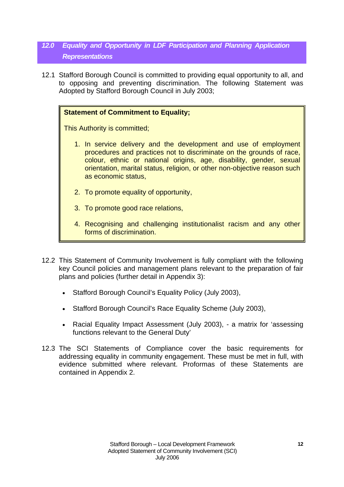#### *12.0 Equality and Opportunity in LDF Participation and Planning Application Representations*

12.1 Stafford Borough Council is committed to providing equal opportunity to all, and to opposing and preventing discrimination. The following Statement was Adopted by Stafford Borough Council in July 2003;

#### **Statement of Commitment to Equality;**

This Authority is committed;

- 1. In service delivery and the development and use of employment procedures and practices not to discriminate on the grounds of race, colour, ethnic or national origins, age, disability, gender, sexual orientation, marital status, religion, or other non-objective reason such as economic status,
- 2. To promote equality of opportunity,
- 3. To promote good race relations,
- 4. Recognising and challenging institutionalist racism and any other forms of discrimination.
- 12.2 This Statement of Community Involvement is fully compliant with the following key Council policies and management plans relevant to the preparation of fair plans and policies (further detail in Appendix 3):
	- Stafford Borough Council's Equality Policy (July 2003),
	- Stafford Borough Council's Race Equality Scheme (July 2003),
	- Racial Equality Impact Assessment (July 2003), a matrix for 'assessing functions relevant to the General Duty'
- 12.3 The SCI Statements of Compliance cover the basic requirements for addressing equality in community engagement. These must be met in full, with evidence submitted where relevant. Proformas of these Statements are contained in Appendix 2.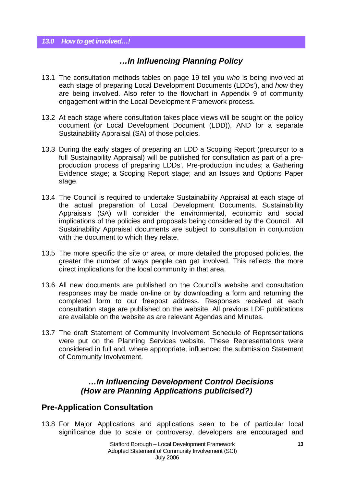#### *…In Influencing Planning Policy*

- 13.1 The consultation methods tables on page 19 tell you *who* is being involved at each stage of preparing Local Development Documents (LDDs'), and *how* they are being involved. Also refer to the flowchart in Appendix 9 of community engagement within the Local Development Framework process.
- 13.2 At each stage where consultation takes place views will be sought on the policy document (or Local Development Document (LDD)), AND for a separate Sustainability Appraisal (SA) of those policies.
- 13.3 During the early stages of preparing an LDD a Scoping Report (precursor to a full Sustainability Appraisal) will be published for consultation as part of a preproduction process of preparing LDDs'. Pre-production includes; a Gathering Evidence stage; a Scoping Report stage; and an Issues and Options Paper stage.
- 13.4 The Council is required to undertake Sustainability Appraisal at each stage of the actual preparation of Local Development Documents. Sustainability Appraisals (SA) will consider the environmental, economic and social implications of the policies and proposals being considered by the Council. All Sustainability Appraisal documents are subject to consultation in conjunction with the document to which they relate.
- 13.5 The more specific the site or area, or more detailed the proposed policies, the greater the number of ways people can get involved. This reflects the more direct implications for the local community in that area.
- 13.6 All new documents are published on the Council's website and consultation responses may be made on-line or by downloading a form and returning the completed form to our freepost address. Responses received at each consultation stage are published on the website. All previous LDF publications are available on the website as are relevant Agendas and Minutes.
- 13.7 The draft Statement of Community Involvement Schedule of Representations were put on the Planning Services website. These Representations were considered in full and, where appropriate, influenced the submission Statement of Community Involvement.

#### *…In Influencing Development Control Decisions (How are Planning Applications publicised?)*

#### **Pre-Application Consultation**

13.8 For Major Applications and applications seen to be of particular local significance due to scale or controversy, developers are encouraged and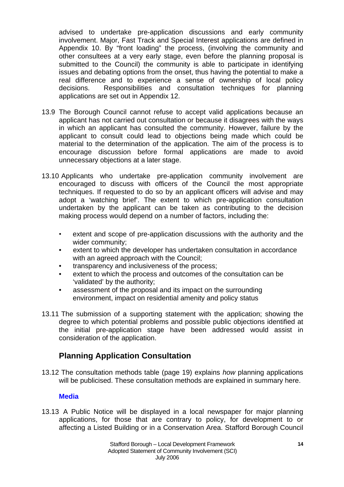advised to undertake pre-application discussions and early community involvement. Major, Fast Track and Special Interest applications are defined in Appendix 10. By "front loading" the process, (involving the community and other consultees at a very early stage, even before the planning proposal is submitted to the Council) the community is able to participate in identifying issues and debating options from the onset, thus having the potential to make a real difference and to experience a sense of ownership of local policy decisions. Responsibilities and consultation techniques for planning applications are set out in Appendix 12.

- 13.9 The Borough Council cannot refuse to accept valid applications because an applicant has not carried out consultation or because it disagrees with the ways in which an applicant has consulted the community. However, failure by the applicant to consult could lead to objections being made which could be material to the determination of the application. The aim of the process is to encourage discussion before formal applications are made to avoid unnecessary objections at a later stage.
- 13.10 Applicants who undertake pre-application community involvement are encouraged to discuss with officers of the Council the most appropriate techniques. If requested to do so by an applicant officers will advise and may adopt a 'watching brief'. The extent to which pre-application consultation undertaken by the applicant can be taken as contributing to the decision making process would depend on a number of factors, including the:
	- extent and scope of pre-application discussions with the authority and the wider community;
	- extent to which the developer has undertaken consultation in accordance with an agreed approach with the Council;
	- transparency and inclusiveness of the process;
	- extent to which the process and outcomes of the consultation can be 'validated' by the authority;
	- assessment of the proposal and its impact on the surrounding environment, impact on residential amenity and policy status
- 13.11 The submission of a supporting statement with the application; showing the degree to which potential problems and possible public objections identified at the initial pre-application stage have been addressed would assist in consideration of the application.

#### **Planning Application Consultation**

13.12 The consultation methods table (page 19) explains *how* planning applications will be publicised. These consultation methods are explained in summary here.

#### **Media**

13.13 A Public Notice will be displayed in a local newspaper for major planning applications, for those that are contrary to policy, for development to or affecting a Listed Building or in a Conservation Area. Stafford Borough Council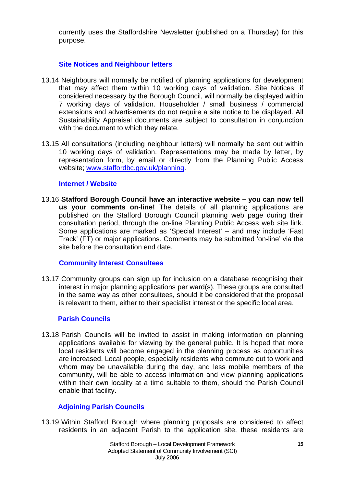currently uses the Staffordshire Newsletter (published on a Thursday) for this purpose.

#### **Site Notices and Neighbour letters**

- 13.14 Neighbours will normally be notified of planning applications for development that may affect them within 10 working days of validation. Site Notices, if considered necessary by the Borough Council, will normally be displayed within 7 working days of validation. Householder / small business / commercial extensions and advertisements do not require a site notice to be displayed. All Sustainability Appraisal documents are subject to consultation in conjunction with the document to which they relate.
- 13.15 All consultations (including neighbour letters) will normally be sent out within 10 working days of validation. Representations may be made by letter, by representation form, by email or directly from the Planning Public Access website: [www.staffordbc.gov.uk/planning.](http://www.staffordbc.gov.uk/planning)

#### **Internet / Website**

13.16 **Stafford Borough Council have an interactive website – you can now tell us your comments on-line!** The details of all planning applications are published on the Stafford Borough Council planning web page during their consultation period, through the on-line Planning Public Access web site link. Some applications are marked as 'Special Interest' – and may include 'Fast Track' (FT) or major applications. Comments may be submitted 'on-line' via the site before the consultation end date.

#### **Community Interest Consultees**

13.17 Community groups can sign up for inclusion on a database recognising their interest in major planning applications per ward(s). These groups are consulted in the same way as other consultees, should it be considered that the proposal is relevant to them, either to their specialist interest or the specific local area.

#### **Parish Councils**

13.18 Parish Councils will be invited to assist in making information on planning applications available for viewing by the general public. It is hoped that more local residents will become engaged in the planning process as opportunities are increased. Local people, especially residents who commute out to work and whom may be unavailable during the day, and less mobile members of the community, will be able to access information and view planning applications within their own locality at a time suitable to them, should the Parish Council enable that facility.

#### **Adjoining Parish Councils**

13.19 Within Stafford Borough where planning proposals are considered to affect residents in an adjacent Parish to the application site, these residents are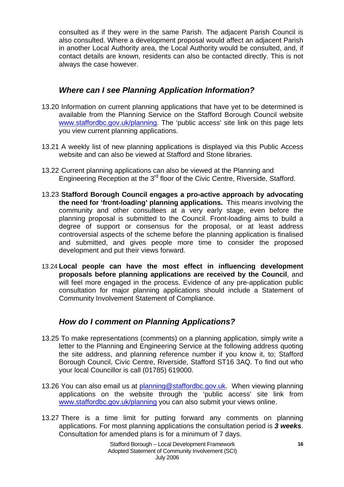consulted as if they were in the same Parish. The adjacent Parish Council is also consulted. Where a development proposal would affect an adjacent Parish in another Local Authority area, the Local Authority would be consulted, and, if contact details are known, residents can also be contacted directly. This is not always the case however.

#### *Where can I see Planning Application Information?*

- 13.20 Information on current planning applications that have yet to be determined is available from the Planning Service on the Stafford Borough Council website [www.staffordbc.gov.uk/planning](http://www.staffordbc.gov.uk/planning). The 'public access' site link on this page lets you view current planning applications.
- 13.21 A weekly list of new planning applications is displayed via this Public Access website and can also be viewed at Stafford and Stone libraries.
- 13.22 Current planning applications can also be viewed at the Planning and Engineering Reception at the 3<sup>rd</sup> floor of the Civic Centre, Riverside, Stafford.
- 13.23 **Stafford Borough Council engages a pro-active approach by advocating the need for 'front-loading' planning applications.** This means involving the community and other consultees at a very early stage, even before the planning proposal is submitted to the Council. Front-loading aims to build a degree of support or consensus for the proposal, or at least address controversial aspects of the scheme before the planning application is finalised and submitted, and gives people more time to consider the proposed development and put their views forward.
- 13.24 **Local people can have the most effect in influencing development proposals before planning applications are received by the Council**, and will feel more engaged in the process. Evidence of any pre-application public consultation for major planning applications should include a Statement of Community Involvement Statement of Compliance.

#### *How do I comment on Planning Applications?*

- 13.25 To make representations (comments) on a planning application, simply write a letter to the Planning and Engineering Service at the following address quoting the site address, and planning reference number if you know it, to; Stafford Borough Council, Civic Centre, Riverside, Stafford ST16 3AQ. To find out who your local Councillor is call (01785) 619000.
- 13.26 You can also email us at [planning@staffordbc.gov.uk](mailto:planning@staffordbc.gov.uk). When viewing planning applications on the website through the 'public access' site link from [www.staffordbc.gov.uk/planning](http://www.staffordbc.gov.uk/planning) you can also submit your views online.
- 13.27 There is a time limit for putting forward any comments on planning applications. For most planning applications the consultation period is *3 weeks*. Consultation for amended plans is for a minimum of 7 days.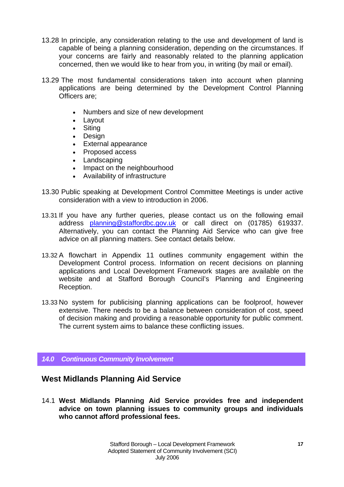- 13.28 In principle, any consideration relating to the use and development of land is capable of being a planning consideration, depending on the circumstances. If your concerns are fairly and reasonably related to the planning application concerned, then we would like to hear from you, in writing (by mail or email).
- 13.29 The most fundamental considerations taken into account when planning applications are being determined by the Development Control Planning Officers are;
	- Numbers and size of new development
	- Layout
	- Siting
	- Design
	- External appearance
	- Proposed access
	- Landscaping
	- Impact on the neighbourhood
	- Availability of infrastructure
- 13.30 Public speaking at Development Control Committee Meetings is under active consideration with a view to introduction in 2006.
- 13.31 If you have any further queries, please contact us on the following email address planning@staffordbc.gov.uk or call direct on (01785) 619337. Alternatively, you can contact the Planning Aid Service who can give free advice on all planning matters. See contact details below.
- 13.32 A flowchart in Appendix 11 outlines community engagement within the Development Control process. Information on recent decisions on planning applications and Local Development Framework stages are available on the website and at Stafford Borough Council's Planning and Engineering Reception.
- 13.33 No system for publicising planning applications can be foolproof, however extensive. There needs to be a balance between consideration of cost, speed of decision making and providing a reasonable opportunity for public comment. The current system aims to balance these conflicting issues.

#### *14.0 Continuous Community Involvement*

#### **West Midlands Planning Aid Service**

14.1 **West Midlands Planning Aid Service provides free and independent advice on town planning issues to community groups and individuals who cannot afford professional fees.**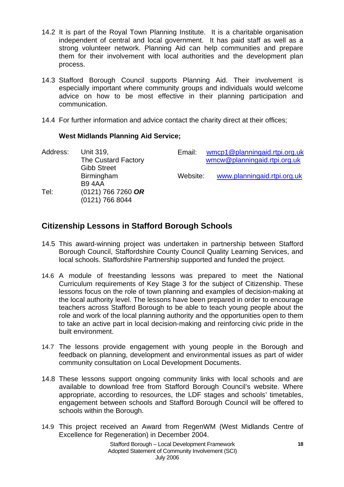- 14.2 It is part of the Royal Town Planning Institute. It is a charitable organisation independent of central and local government. It has paid staff as well as a strong volunteer network. Planning Aid can help communities and prepare them for their involvement with local authorities and the development plan process.
- 14.3 Stafford Borough Council supports Planning Aid. Their involvement is especially important where community groups and individuals would welcome advice on how to be most effective in their planning participation and communication.
- 14.4 For further information and advice contact the charity direct at their offices;

#### **West Midlands Planning Aid Service;**

| Address: | Unit 319,                  | Email:   | wmcp1@planningaid.rtpi.org.uk |
|----------|----------------------------|----------|-------------------------------|
|          | <b>The Custard Factory</b> |          | wmcw@planningaid.rtpi.org.uk  |
|          | <b>Gibb Street</b>         |          |                               |
|          | Birmingham                 | Website: | www.planningaid.rtpi.org.uk   |
|          | <b>B94AA</b>               |          |                               |
| Tel:     | $(0121)$ 766 7260 OR       |          |                               |
|          | (0121) 766 8044            |          |                               |

### **Citizenship Lessons in Stafford Borough Schools**

- 14.5 This award-winning project was undertaken in partnership between Stafford Borough Council, Staffordshire County Council Quality Learning Services, and local schools. Staffordshire Partnership supported and funded the project.
- 14.6 A module of freestanding lessons was prepared to meet the National Curriculum requirements of Key Stage 3 for the subject of Citizenship. These lessons focus on the role of town planning and examples of decision-making at the local authority level. The lessons have been prepared in order to encourage teachers across Stafford Borough to be able to teach young people about the role and work of the local planning authority and the opportunities open to them to take an active part in local decision-making and reinforcing civic pride in the built environment.
- 14.7 The lessons provide engagement with young people in the Borough and feedback on planning, development and environmental issues as part of wider community consultation on Local Development Documents.
- 14.8 These lessons support ongoing community links with local schools and are available to download free from Stafford Borough Council's website. Where appropriate, according to resources, the LDF stages and schools' timetables, engagement between schools and Stafford Borough Council will be offered to schools within the Borough.
- 14.9 This project received an Award from RegenWM (West Midlands Centre of Excellence for Regeneration) in December 2004.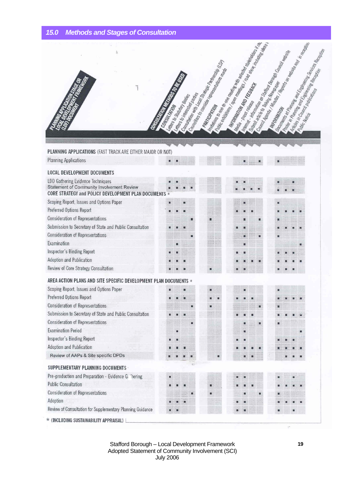#### *15.0 Methods and Stages of Consultation*

| PLANNING APPLICATIONS (FAST TRACK ARE EITHER MAJOR OR NOT)                                                                                     | CONSULTATION | Lates to this design rates<br>Lettery of States Policies | Constantino Williams<br>Conceitor do consegue de Manuel de Distribución | Interfactor of the Bode Chapter Hills Secretary and Reading the Chapter of the Chapter of the Chapter of the Chapter of the Chapter of the Chapter of the Chapter of the Chapter of the Chapter of the Chapter of the Chapter<br>Ladis enjudion or dean reading to read the contract of the contract of the contract of the contract of the contract of the contract of the contract of the contract of the contract of the contract of the contract of the con<br>International Management Concerns of Concernsive Concerns of Concernsive Concernsive Concernsive Concernsive Concernsive Concernsive Concernsive Concernsive Concernsive Concernsive Concernsive Concernsive Concernsive Conce | Concrete data de Mandez.<br>Dentally of Pampa and Engineer Pacific Services of Responsibility<br>Poste in Pamile and Elizabeth Recognition |
|------------------------------------------------------------------------------------------------------------------------------------------------|--------------|----------------------------------------------------------|-------------------------------------------------------------------------|---------------------------------------------------------------------------------------------------------------------------------------------------------------------------------------------------------------------------------------------------------------------------------------------------------------------------------------------------------------------------------------------------------------------------------------------------------------------------------------------------------------------------------------------------------------------------------------------------------------------------------------------------------------------------------------------------|--------------------------------------------------------------------------------------------------------------------------------------------|
| <b>Planning Applications</b>                                                                                                                   |              |                                                          |                                                                         |                                                                                                                                                                                                                                                                                                                                                                                                                                                                                                                                                                                                                                                                                                   |                                                                                                                                            |
| <b>LOCAL DEVELOPMENT DOCUMENTS</b>                                                                                                             |              |                                                          |                                                                         |                                                                                                                                                                                                                                                                                                                                                                                                                                                                                                                                                                                                                                                                                                   |                                                                                                                                            |
| <b>LDD Gathering Evidence Techniques</b><br>Statement of Community Involvement Review<br>CORE STRATEGY and POLICY DEVELOPMENT PLAN DOCUMENTS * |              |                                                          |                                                                         |                                                                                                                                                                                                                                                                                                                                                                                                                                                                                                                                                                                                                                                                                                   |                                                                                                                                            |
| Scoping Report, Issues and Options Paper                                                                                                       |              |                                                          |                                                                         |                                                                                                                                                                                                                                                                                                                                                                                                                                                                                                                                                                                                                                                                                                   |                                                                                                                                            |
| Preferred Options Report                                                                                                                       |              |                                                          |                                                                         |                                                                                                                                                                                                                                                                                                                                                                                                                                                                                                                                                                                                                                                                                                   |                                                                                                                                            |
| <b>Consideration of Representations</b>                                                                                                        |              |                                                          |                                                                         |                                                                                                                                                                                                                                                                                                                                                                                                                                                                                                                                                                                                                                                                                                   |                                                                                                                                            |
| Submission to Secretary of State and Public Consultation                                                                                       |              |                                                          |                                                                         |                                                                                                                                                                                                                                                                                                                                                                                                                                                                                                                                                                                                                                                                                                   |                                                                                                                                            |
| <b>Consideration of Representations</b>                                                                                                        |              |                                                          |                                                                         |                                                                                                                                                                                                                                                                                                                                                                                                                                                                                                                                                                                                                                                                                                   |                                                                                                                                            |
| Examination                                                                                                                                    |              |                                                          |                                                                         |                                                                                                                                                                                                                                                                                                                                                                                                                                                                                                                                                                                                                                                                                                   |                                                                                                                                            |
| Inspector's Binding Report                                                                                                                     |              |                                                          |                                                                         |                                                                                                                                                                                                                                                                                                                                                                                                                                                                                                                                                                                                                                                                                                   |                                                                                                                                            |
| Adoption and Publication                                                                                                                       |              |                                                          |                                                                         |                                                                                                                                                                                                                                                                                                                                                                                                                                                                                                                                                                                                                                                                                                   |                                                                                                                                            |
| Review of Core Strategy Consultation                                                                                                           |              |                                                          |                                                                         |                                                                                                                                                                                                                                                                                                                                                                                                                                                                                                                                                                                                                                                                                                   |                                                                                                                                            |
| AREA ACTION PLANS AND SITE SPECIFIC DEVELOPMENT PLAN DOCUMENTS *                                                                               |              |                                                          |                                                                         |                                                                                                                                                                                                                                                                                                                                                                                                                                                                                                                                                                                                                                                                                                   |                                                                                                                                            |
| Scoping Report, Issues and Options Paper                                                                                                       |              |                                                          |                                                                         |                                                                                                                                                                                                                                                                                                                                                                                                                                                                                                                                                                                                                                                                                                   | ш                                                                                                                                          |
| Preferred Options Report                                                                                                                       |              |                                                          |                                                                         |                                                                                                                                                                                                                                                                                                                                                                                                                                                                                                                                                                                                                                                                                                   |                                                                                                                                            |
| <b>Consideration of Representations</b>                                                                                                        |              |                                                          |                                                                         |                                                                                                                                                                                                                                                                                                                                                                                                                                                                                                                                                                                                                                                                                                   |                                                                                                                                            |
| Submission to Secretary of State and Public Consultation                                                                                       |              |                                                          |                                                                         |                                                                                                                                                                                                                                                                                                                                                                                                                                                                                                                                                                                                                                                                                                   |                                                                                                                                            |
| <b>Consideration of Representations</b>                                                                                                        |              |                                                          |                                                                         |                                                                                                                                                                                                                                                                                                                                                                                                                                                                                                                                                                                                                                                                                                   |                                                                                                                                            |
| <b>Examination Period</b>                                                                                                                      |              |                                                          |                                                                         |                                                                                                                                                                                                                                                                                                                                                                                                                                                                                                                                                                                                                                                                                                   |                                                                                                                                            |
| Inspector's Binding Report                                                                                                                     |              |                                                          |                                                                         |                                                                                                                                                                                                                                                                                                                                                                                                                                                                                                                                                                                                                                                                                                   |                                                                                                                                            |

#### SUPPLEMENTARY PLANNING DOCUMENTS

Review of AAPs & Site specific DPDs

Adoption and Publication

| Pre-production and Preparation - Evidence G: "hering       |  |
|------------------------------------------------------------|--|
| <b>Public Consultation</b>                                 |  |
| <b>Consideration of Representations</b>                    |  |
| Adoption                                                   |  |
| Review of Consultation for Supplementary Planning Guidance |  |

\* (INCLUDING SUSTAINABILITY APPRAISAL) [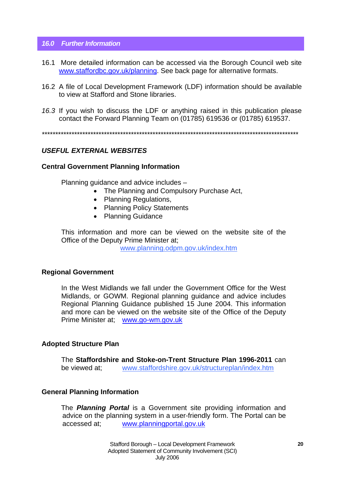#### *16.0 Further Information*

- 16.1 More detailed information can be accessed via the Borough Council web site [www.staffordbc.gov.uk/planning](http://www.staffordbc.gov.uk/planning). See back page for alternative formats.
- 16.2 A file of Local Development Framework (LDF) information should be available to view at Stafford and Stone libraries.
- *16.3* If you wish to discuss the LDF or anything raised in this publication please contact the Forward Planning Team on (01785) 619536 or (01785) 619537.

*\*\*\*\*\*\*\*\*\*\*\*\*\*\*\*\*\*\*\*\*\*\*\*\*\*\*\*\*\*\*\*\*\*\*\*\*\*\*\*\*\*\*\*\*\*\*\*\*\*\*\*\*\*\*\*\*\*\*\*\*\*\*\*\*\*\*\*\*\*\*\*\*\*\*\*\*\*\*\*\*\*\*\*\*\*\*\*\*\*\*\*\*\*\*\** 

#### *USEFUL EXTERNAL WEBSITES*

#### **Central Government Planning Information**

Planning guidance and advice includes –

- The Planning and Compulsory Purchase Act,
- Planning Regulations,
- Planning Policy Statements
- Planning Guidance

This information and more can be viewed on the website site of the Office of the Deputy Prime Minister at;

[www.planning.odpm.gov.uk/index.htm](http://www.planning.odpm.gov.uk/index.htm)

#### **Regional Government**

In the West Midlands we fall under the Government Office for the West Midlands, or GOWM. Regional planning guidance and advice includes Regional Planning Guidance published 15 June 2004. This information and more can be viewed on the website site of the Office of the Deputy Prime Minister at; [www.go-wm.gov.uk](http://www.go-wm.gov.uk/)

#### **Adopted Structure Plan**

 The **Staffordshire and Stoke-on-Trent Structure Plan 1996-2011** can be viewed at; [www.staffordshire.gov.uk/structureplan/index.htm](http://www.staffordshire.gov.uk/structureplan/index.htm)

#### **General Planning Information**

The *Planning Portal* is a Government site providing information and advice on the planning system in a user-friendly form. The Portal can be accessed at; [www.planningportal.gov.uk](http://www.planningportal.gov.uk/)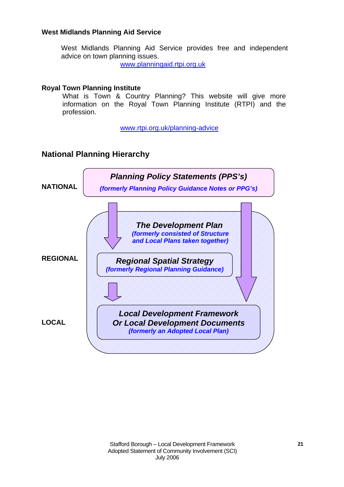#### **West Midlands Planning Aid Service**

West Midlands Planning Aid Service provides free and independent advice on town planning issues.

[www.planningaid.rtpi.org.uk](http://www.planningaid.rtpi.org.uk/)

#### **Royal Town Planning Institute**

What is Town & Country Planning? This website will give more information on the Royal Town Planning Institute (RTPI) and the profession.

[www.rtpi.org.uk/planning-advice](http://www.rtpi.org.uk/planning-advice)

#### **National Planning Hierarchy**

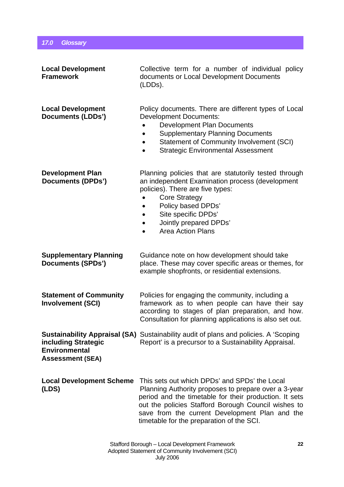|  | Glossary<br>17.0 |
|--|------------------|
|  |                  |

| <b>Local Development</b><br><b>Framework</b>                           | Collective term for a number of individual policy<br>documents or Local Development Documents<br>(LDDs).                                                                                                                                                                                                              |  |  |
|------------------------------------------------------------------------|-----------------------------------------------------------------------------------------------------------------------------------------------------------------------------------------------------------------------------------------------------------------------------------------------------------------------|--|--|
| <b>Local Development</b><br><b>Documents (LDDs')</b>                   | Policy documents. There are different types of Local<br><b>Development Documents:</b><br><b>Development Plan Documents</b><br><b>Supplementary Planning Documents</b><br><b>Statement of Community Involvement (SCI)</b><br><b>Strategic Environmental Assessment</b>                                                 |  |  |
| <b>Development Plan</b><br><b>Documents (DPDs')</b>                    | Planning policies that are statutorily tested through<br>an independent Examination process (development<br>policies). There are five types:<br><b>Core Strategy</b><br>Policy based DPDs'<br>Site specific DPDs'<br>$\bullet$<br>Jointly prepared DPDs'<br><b>Area Action Plans</b>                                  |  |  |
| <b>Supplementary Planning</b><br><b>Documents (SPDs')</b>              | Guidance note on how development should take<br>place. These may cover specific areas or themes, for<br>example shopfronts, or residential extensions.                                                                                                                                                                |  |  |
| <b>Statement of Community</b><br><b>Involvement (SCI)</b>              | Policies for engaging the community, including a<br>framework as to when people can have their say<br>according to stages of plan preparation, and how.<br>Consultation for planning applications is also set out.                                                                                                    |  |  |
| including Strategic<br><b>Environmental</b><br><b>Assessment (SEA)</b> | <b>Sustainability Appraisal (SA)</b> Sustainability audit of plans and policies. A 'Scoping<br>Report' is a precursor to a Sustainability Appraisal.                                                                                                                                                                  |  |  |
| <b>Local Development Scheme</b><br>(LDS)                               | This sets out which DPDs' and SPDs' the Local<br>Planning Authority proposes to prepare over a 3-year<br>period and the timetable for their production. It sets<br>out the policies Stafford Borough Council wishes to<br>save from the current Development Plan and the<br>timetable for the preparation of the SCI. |  |  |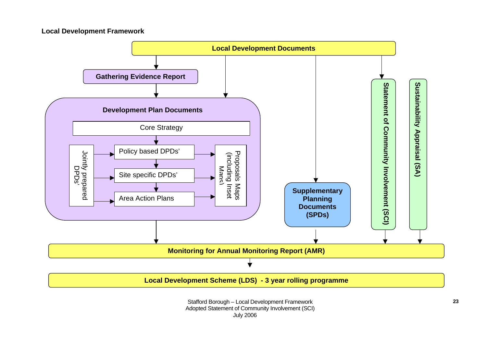#### **Local Development Framework**

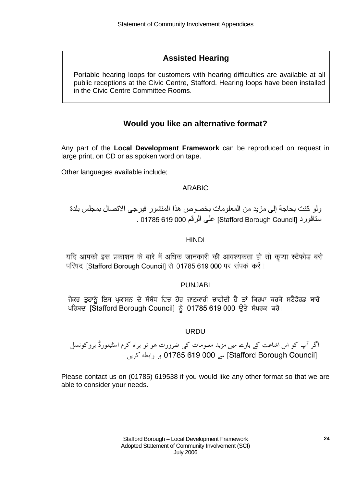### **Assisted Hearing**

Portable hearing loops for customers with hearing difficulties are available at all public receptions at the Civic Centre, Stafford. Hearing loops have been installed in the Civic Centre Committee Rooms.

### **Would you like an alternative format?**

Any part of the **Local Development Framework** can be reproduced on request in large print, on CD or as spoken word on tape.

Other languages available include;

#### ARABIC

ولو كنت بحاجة إلى مزيد من المعلومات بخصوص هذا المنشور فيرجى الاتصال بمجلس بلدة ستافورد [Stafford Borough Council] على الرقم 000 619 01785 .

#### **HINDI**

यदि आपको इस प्रकाशन के बारे में अधिक जानकारी की आवश्यकता हो तो कृप्या स्टैफोड बरो परिषद [Stafford Borough Council] से 01785 619 000 पर संपर्क करें।

#### PUNJABI

ਜੇਕਰ ਤੁਹਾਨੂੰ ਇਸ ਪ੍ਰਕਾਸ਼ਨ ਦੇ ਸੰਬੰਧ ਵਿਚ ਹੋਰ ਜਾਣਕਾਰੀ ਚਾਹੀਦੀ ਹੈ ਤਾਂ ਕਿਰਪਾ ਕਰਕੇ ਸਟੈਫੋਰਡ ਬਾਰੋ ਪਰਿਸ਼ਦ [Stafford Borough Council] ਨੂੰ 01785 619 000 ਉਤੇ ਸੰਪਰਕ ਕਰੋ।

#### URDU

اگر آپ کو اس اشاعت کر بارے میں مزید معلومات کی ضرورت ہو تو براہ کرم اسٹیفورڈ بروکونسل اسے 1785 619 000 Stafford Borough Council] پر رابطه کریں۔

Please contact us on (01785) 619538 if you would like any other format so that we are able to consider your needs.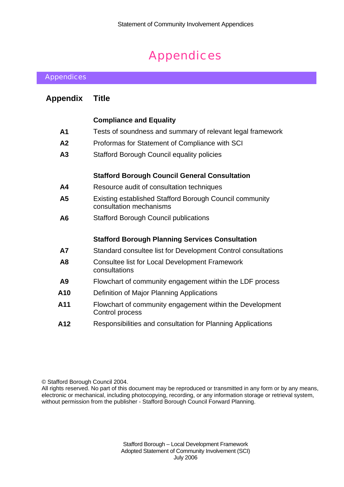## Appendices

#### *Appendices*

| <b>Appendix</b> | <b>Title</b>                                                                              |
|-----------------|-------------------------------------------------------------------------------------------|
|                 | <b>Compliance and Equality</b>                                                            |
| A <sub>1</sub>  | Tests of soundness and summary of relevant legal framework                                |
| A <sub>2</sub>  | Proformas for Statement of Compliance with SCI                                            |
| A3              | <b>Stafford Borough Council equality policies</b>                                         |
|                 | <b>Stafford Borough Council General Consultation</b>                                      |
| A <sub>4</sub>  | Resource audit of consultation techniques                                                 |
| A5              | <b>Existing established Stafford Borough Council community</b><br>consultation mechanisms |
| A <sub>6</sub>  | <b>Stafford Borough Council publications</b>                                              |
|                 | <b>Stafford Borough Planning Services Consultation</b>                                    |
| <b>A7</b>       | Standard consultee list for Development Control consultations                             |
| A <sub>8</sub>  | <b>Consultee list for Local Development Framework</b><br>consultations                    |
| A9              | Flowchart of community engagement within the LDF process                                  |
| A10             | Definition of Major Planning Applications                                                 |
| A11             | Flowchart of community engagement within the Development<br>Control process               |
| A12             | Responsibilities and consultation for Planning Applications                               |

© Stafford Borough Council 2004.

All rights reserved. No part of this document may be reproduced or transmitted in any form or by any means, electronic or mechanical, including photocopying, recording, or any information storage or retrieval system, without permission from the publisher - Stafford Borough Council Forward Planning.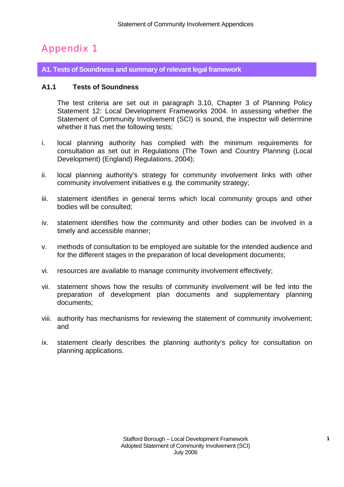## Appendix 1

**A1. Tests of Soundness and summary of relevant legal framework**

#### **A1.1 Tests of Soundness**

The test criteria are set out in paragraph 3.10, Chapter 3 of Planning Policy Statement 12: Local Development Frameworks 2004. In assessing whether the Statement of Community Involvement (SCI) is sound, the inspector will determine whether it has met the following tests;

- i. local planning authority has complied with the minimum requirements for consultation as set out in Regulations (The Town and Country Planning (Local Development) (England) Regulations, 2004);
- ii. local planning authority's strategy for community involvement links with other community involvement initiatives e.g. the community strategy:
- iii. statement identifies in general terms which local community groups and other bodies will be consulted;
- iv. statement identifies how the community and other bodies can be involved in a timely and accessible manner;
- v. methods of consultation to be employed are suitable for the intended audience and for the different stages in the preparation of local development documents;
- vi. resources are available to manage community involvement effectively;
- vii. statement shows how the results of community involvement will be fed into the preparation of development plan documents and supplementary planning documents;
- viii. authority has mechanisms for reviewing the statement of community involvement; and
- ix. statement clearly describes the planning authority's policy for consultation on planning applications.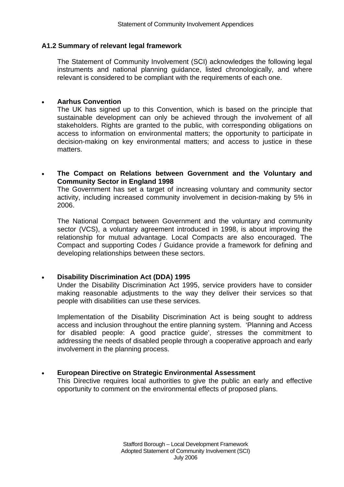#### **A1.2 Summary of relevant legal framework**

The Statement of Community Involvement (SCI) acknowledges the following legal instruments and national planning guidance, listed chronologically, and where relevant is considered to be compliant with the requirements of each one.

#### • **Aarhus Convention**

The UK has signed up to this Convention, which is based on the principle that sustainable development can only be achieved through the involvement of all stakeholders. Rights are granted to the public, with corresponding obligations on access to information on environmental matters; the opportunity to participate in decision-making on key environmental matters; and access to justice in these matters.

• **The Compact on Relations between Government and the Voluntary and Community Sector in England 1998**

The Government has set a target of increasing voluntary and community sector activity, including increased community involvement in decision-making by 5% in 2006.

The National Compact between Government and the voluntary and community sector (VCS), a voluntary agreement introduced in 1998, is about improving the relationship for mutual advantage. Local Compacts are also encouraged. The Compact and supporting Codes / Guidance provide a framework for defining and developing relationships between these sectors.

#### • **Disability Discrimination Act (DDA) 1995**

Under the Disability Discrimination Act 1995, service providers have to consider making reasonable adjustments to the way they deliver their services so that people with disabilities can use these services.

Implementation of the Disability Discrimination Act is being sought to address access and inclusion throughout the entire planning system. 'Planning and Access for disabled people: A good practice guide', stresses the commitment to addressing the needs of disabled people through a cooperative approach and early involvement in the planning process.

#### • **European Directive on Strategic Environmental Assessment**

This Directive requires local authorities to give the public an early and effective opportunity to comment on the environmental effects of proposed plans.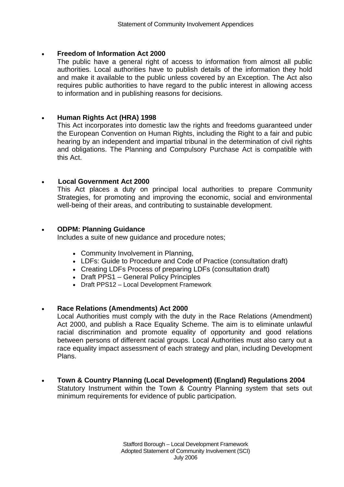#### • **Freedom of Information Act 2000**

The public have a general right of access to information from almost all public authorities. Local authorities have to publish details of the information they hold and make it available to the public unless covered by an Exception. The Act also requires public authorities to have regard to the public interest in allowing access to information and in publishing reasons for decisions.

#### • **Human Rights Act (HRA) 1998**

This Act incorporates into domestic law the rights and freedoms guaranteed under the European Convention on Human Rights, including the Right to a fair and pubic hearing by an independent and impartial tribunal in the determination of civil rights and obligations. The Planning and Compulsory Purchase Act is compatible with this Act.

#### • **Local Government Act 2000**

This Act places a duty on principal local authorities to prepare Community Strategies, for promoting and improving the economic, social and environmental well-being of their areas, and contributing to sustainable development.

#### • **ODPM: Planning Guidance**

Includes a suite of new guidance and procedure notes;

- Community Involvement in Planning,
- LDFs: Guide to Procedure and Code of Practice (consultation draft)
- Creating LDFs Process of preparing LDFs (consultation draft)
- Draft PPS1 General Policy Principles
- Draft PPS12 Local Development Framework

#### • **Race Relations (Amendments) Act 2000**

Local Authorities must comply with the duty in the Race Relations (Amendment) Act 2000, and publish a Race Equality Scheme. The aim is to eliminate unlawful racial discrimination and promote equality of opportunity and good relations between persons of different racial groups. Local Authorities must also carry out a race equality impact assessment of each strategy and plan, including Development Plans.

## • **Town & Country Planning (Local Development) (England) Regulations 2004**

Statutory Instrument within the Town & Country Planning system that sets out minimum requirements for evidence of public participation.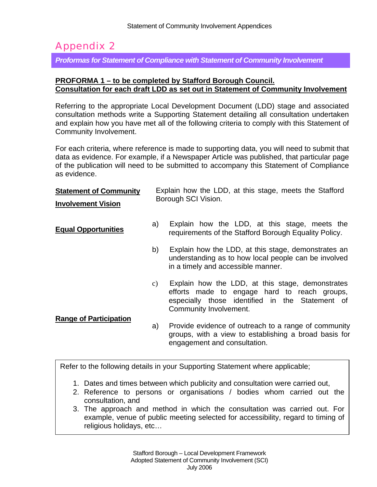## Appendix 2

*Proformas for Statement of Compliance with Statement of Community Involvement* 

#### **PROFORMA 1 – to be completed by Stafford Borough Council. Consultation for each draft LDD as set out in Statement of Community Involvement**

Referring to the appropriate Local Development Document (LDD) stage and associated consultation methods write a Supporting Statement detailing all consultation undertaken and explain how you have met all of the following criteria to comply with this Statement of Community Involvement.

For each criteria, where reference is made to supporting data, you will need to submit that data as evidence. For example, if a Newspaper Article was published, that particular page of the publication will need to be submitted to accompany this Statement of Compliance as evidence.

| <b>Statement of Community</b><br><b>Involvement Vision</b> | Explain how the LDD, at this stage, meets the Stafford<br>Borough SCI Vision. |                                                                                                                                                                               |  |  |
|------------------------------------------------------------|-------------------------------------------------------------------------------|-------------------------------------------------------------------------------------------------------------------------------------------------------------------------------|--|--|
| <b>Equal Opportunities</b>                                 | a)                                                                            | Explain how the LDD, at this stage, meets the<br>requirements of the Stafford Borough Equality Policy.                                                                        |  |  |
|                                                            | b)                                                                            | Explain how the LDD, at this stage, demonstrates an<br>understanding as to how local people can be involved<br>in a timely and accessible manner.                             |  |  |
|                                                            | C)                                                                            | Explain how the LDD, at this stage, demonstrates<br>efforts made to engage hard to reach groups,<br>especially those identified in the Statement of<br>Community Involvement. |  |  |
| <b>Range of Participation</b>                              | a)                                                                            | Provide evidence of outreach to a range of community<br>groups, with a view to establishing a broad basis for<br>engagement and consultation.                                 |  |  |

Refer to the following details in your Supporting Statement where applicable;

- 1. Dates and times between which publicity and consultation were carried out,
- 2. Reference to persons or organisations / bodies whom carried out the consultation, and
- 3. The approach and method in which the consultation was carried out. For example, venue of public meeting selected for accessibility, regard to timing of religious holidays, etc…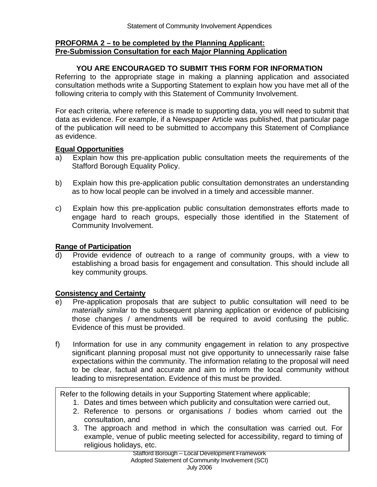#### **PROFORMA 2 – to be completed by the Planning Applicant: Pre-Submission Consultation for each Major Planning Application**

#### **YOU ARE ENCOURAGED TO SUBMIT THIS FORM FOR INFORMATION**

Referring to the appropriate stage in making a planning application and associated consultation methods write a Supporting Statement to explain how you have met all of the following criteria to comply with this Statement of Community Involvement.

For each criteria, where reference is made to supporting data, you will need to submit that data as evidence. For example, if a Newspaper Article was published, that particular page of the publication will need to be submitted to accompany this Statement of Compliance as evidence.

#### **Equal Opportunities**

- a) Explain how this pre-application public consultation meets the requirements of the Stafford Borough Equality Policy.
- b) Explain how this pre-application public consultation demonstrates an understanding as to how local people can be involved in a timely and accessible manner.
- c) Explain how this pre-application public consultation demonstrates efforts made to engage hard to reach groups, especially those identified in the Statement of Community Involvement.

#### **Range of Participation**

d) Provide evidence of outreach to a range of community groups, with a view to establishing a broad basis for engagement and consultation. This should include all key community groups.

#### **Consistency and Certainty**

- e) Pre-application proposals that are subject to public consultation will need to be *materially similar* to the subsequent planning application or evidence of publicising those changes / amendments will be required to avoid confusing the public. Evidence of this must be provided.
- f) Information for use in any community engagement in relation to any prospective significant planning proposal must not give opportunity to unnecessarily raise false expectations within the community. The information relating to the proposal will need to be clear, factual and accurate and aim to inform the local community without leading to misrepresentation. Evidence of this must be provided.

Refer to the following details in your Supporting Statement where applicable;

- 1. Dates and times between which publicity and consultation were carried out,
- 2. Reference to persons or organisations / bodies whom carried out the consultation, and
- 3. The approach and method in which the consultation was carried out. For example, venue of public meeting selected for accessibility, regard to timing of religious holidays, etc.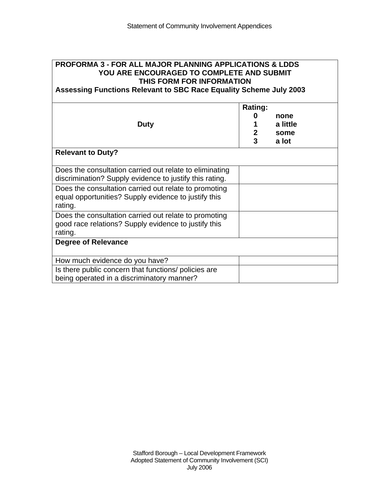#### **PROFORMA 3 - FOR ALL MAJOR PLANNING APPLICATIONS & LDDS YOU ARE ENCOURAGED TO COMPLETE AND SUBMIT THIS FORM FOR INFORMATION**

**Assessing Functions Relevant to SBC Race Equality Scheme July 2003** 

| <b>Duty</b>                                                                                                              | Rating:<br>O<br>3 | none<br>a little<br>some<br>a lot |
|--------------------------------------------------------------------------------------------------------------------------|-------------------|-----------------------------------|
| <b>Relevant to Duty?</b>                                                                                                 |                   |                                   |
| Does the consultation carried out relate to eliminating<br>discrimination? Supply evidence to justify this rating.       |                   |                                   |
| Does the consultation carried out relate to promoting<br>equal opportunities? Supply evidence to justify this<br>rating. |                   |                                   |
| Does the consultation carried out relate to promoting<br>good race relations? Supply evidence to justify this<br>rating. |                   |                                   |
| <b>Degree of Relevance</b>                                                                                               |                   |                                   |
| How much evidence do you have?                                                                                           |                   |                                   |
| Is there public concern that functions/ policies are<br>being operated in a discriminatory manner?                       |                   |                                   |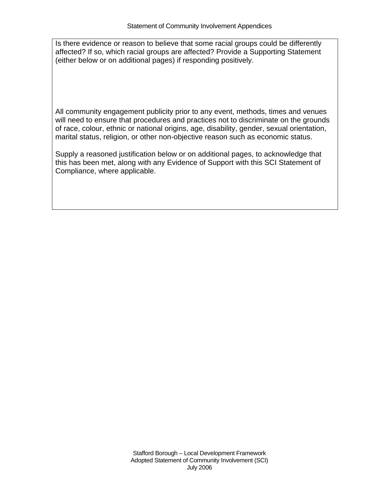Is there evidence or reason to believe that some racial groups could be differently affected? If so, which racial groups are affected? Provide a Supporting Statement (either below or on additional pages) if responding positively.

All community engagement publicity prior to any event, methods, times and venues will need to ensure that procedures and practices not to discriminate on the grounds of race, colour, ethnic or national origins, age, disability, gender, sexual orientation, marital status, religion, or other non-objective reason such as economic status.

Supply a reasoned justification below or on additional pages, to acknowledge that this has been met, along with any Evidence of Support with this SCI Statement of Compliance, where applicable.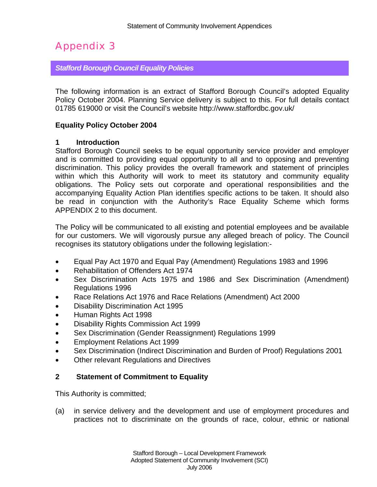## Appendix 3

#### *Stafford Borough Council Equality Policies*

The following information is an extract of Stafford Borough Council's adopted Equality Policy October 2004. Planning Service delivery is subject to this. For full details contact 01785 619000 or visit the Council's website<http://www.staffordbc.gov.uk/>

#### **Equality Policy October 2004**

#### **1 Introduction**

Stafford Borough Council seeks to be equal opportunity service provider and employer and is committed to providing equal opportunity to all and to opposing and preventing discrimination. This policy provides the overall framework and statement of principles within which this Authority will work to meet its statutory and community equality obligations. The Policy sets out corporate and operational responsibilities and the accompanying Equality Action Plan identifies specific actions to be taken. It should also be read in conjunction with the Authority's Race Equality Scheme which forms APPENDIX 2 to this document.

The Policy will be communicated to all existing and potential employees and be available for our customers. We will vigorously pursue any alleged breach of policy. The Council recognises its statutory obligations under the following legislation:-

- Equal Pay Act 1970 and Equal Pay (Amendment) Regulations 1983 and 1996
- Rehabilitation of Offenders Act 1974
- Sex Discrimination Acts 1975 and 1986 and Sex Discrimination (Amendment) Regulations 1996
- Race Relations Act 1976 and Race Relations (Amendment) Act 2000
- Disability Discrimination Act 1995
- Human Rights Act 1998
- Disability Rights Commission Act 1999
- Sex Discrimination (Gender Reassignment) Regulations 1999
- Employment Relations Act 1999
- Sex Discrimination (Indirect Discrimination and Burden of Proof) Regulations 2001
- Other relevant Regulations and Directives

#### **2 Statement of Commitment to Equality**

This Authority is committed;

(a) in service delivery and the development and use of employment procedures and practices not to discriminate on the grounds of race, colour, ethnic or national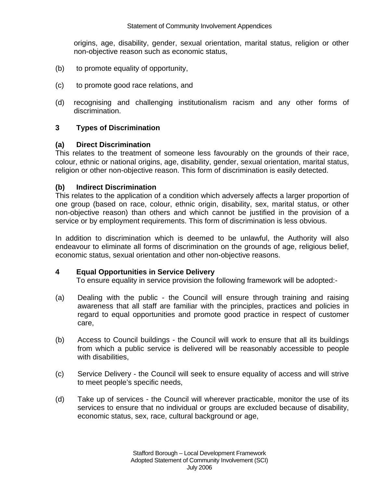origins, age, disability, gender, sexual orientation, marital status, religion or other non-objective reason such as economic status,

- (b) to promote equality of opportunity,
- (c) to promote good race relations, and
- (d) recognising and challenging institutionalism racism and any other forms of discrimination.

#### **3 Types of Discrimination**

#### **(a) Direct Discrimination**

This relates to the treatment of someone less favourably on the grounds of their race, colour, ethnic or national origins, age, disability, gender, sexual orientation, marital status, religion or other non-objective reason. This form of discrimination is easily detected.

#### **(b) Indirect Discrimination**

This relates to the application of a condition which adversely affects a larger proportion of one group (based on race, colour, ethnic origin, disability, sex, marital status, or other non-objective reason) than others and which cannot be justified in the provision of a service or by employment requirements. This form of discrimination is less obvious.

In addition to discrimination which is deemed to be unlawful, the Authority will also endeavour to eliminate all forms of discrimination on the grounds of age, religious belief, economic status, sexual orientation and other non-objective reasons.

#### **4 Equal Opportunities in Service Delivery**

To ensure equality in service provision the following framework will be adopted:-

- (a) Dealing with the public the Council will ensure through training and raising awareness that all staff are familiar with the principles, practices and policies in regard to equal opportunities and promote good practice in respect of customer care,
- (b) Access to Council buildings the Council will work to ensure that all its buildings from which a public service is delivered will be reasonably accessible to people with disabilities.
- (c) Service Delivery the Council will seek to ensure equality of access and will strive to meet people's specific needs,
- (d) Take up of services the Council will wherever practicable, monitor the use of its services to ensure that no individual or groups are excluded because of disability, economic status, sex, race, cultural background or age,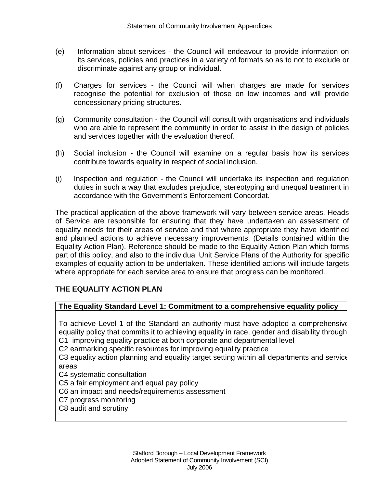- (e) Information about services the Council will endeavour to provide information on its services, policies and practices in a variety of formats so as to not to exclude or discriminate against any group or individual.
- (f) Charges for services the Council will when charges are made for services recognise the potential for exclusion of those on low incomes and will provide concessionary pricing structures.
- (g) Community consultation the Council will consult with organisations and individuals who are able to represent the community in order to assist in the design of policies and services together with the evaluation thereof.
- (h) Social inclusion the Council will examine on a regular basis how its services contribute towards equality in respect of social inclusion.
- (i) Inspection and regulation the Council will undertake its inspection and regulation duties in such a way that excludes prejudice, stereotyping and unequal treatment in accordance with the Government's Enforcement Concordat.

The practical application of the above framework will vary between service areas. Heads of Service are responsible for ensuring that they have undertaken an assessment of equality needs for their areas of service and that where appropriate they have identified and planned actions to achieve necessary improvements. (Details contained within the Equality Action Plan). Reference should be made to the Equality Action Plan which forms part of this policy, and also to the individual Unit Service Plans of the Authority for specific examples of equality action to be undertaken. These identified actions will include targets where appropriate for each service area to ensure that progress can be monitored.

#### **THE EQUALITY ACTION PLAN**

#### **The Equality Standard Level 1: Commitment to a comprehensive equality policy**

To achieve Level 1 of the Standard an authority must have adopted a comprehensive equality policy that commits it to achieving equality in race, gender and disability through

C1 improving equality practice at both corporate and departmental level

C2 earmarking specific resources for improving equality practice

C3 equality action planning and equality target setting within all departments and service areas

- C4 systematic consultation
- C5 a fair employment and equal pay policy
- C6 an impact and needs/requirements assessment
- C7 progress monitoring
- C8 audit and scrutiny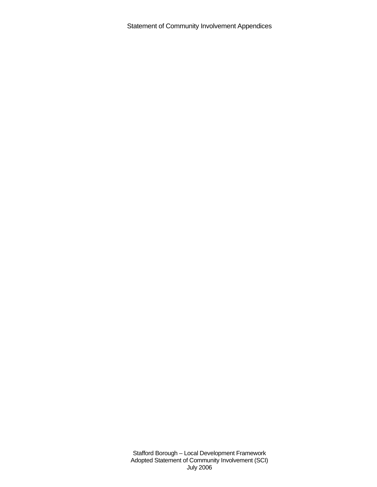Statement of Community Involvement Appendices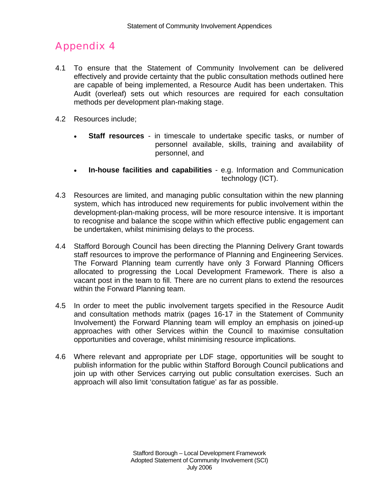## Appendix 4

- 4.1 To ensure that the Statement of Community Involvement can be delivered effectively and provide certainty that the public consultation methods outlined here are capable of being implemented, a Resource Audit has been undertaken. This Audit (overleaf) sets out which resources are required for each consultation methods per development plan-making stage.
- 4.2 Resources include;
	- **Staff resources** in timescale to undertake specific tasks, or number of personnel available, skills, training and availability of personnel, and
	- **In-house facilities and capabilities** e.g. Information and Communication technology (ICT).
- 4.3 Resources are limited, and managing public consultation within the new planning system, which has introduced new requirements for public involvement within the development-plan-making process, will be more resource intensive. It is important to recognise and balance the scope within which effective public engagement can be undertaken, whilst minimising delays to the process.
- 4.4 Stafford Borough Council has been directing the Planning Delivery Grant towards staff resources to improve the performance of Planning and Engineering Services. The Forward Planning team currently have only 3 Forward Planning Officers allocated to progressing the Local Development Framework. There is also a vacant post in the team to fill. There are no current plans to extend the resources within the Forward Planning team.
- 4.5 In order to meet the public involvement targets specified in the Resource Audit and consultation methods matrix (pages 16-17 in the Statement of Community Involvement) the Forward Planning team will employ an emphasis on joined-up approaches with other Services within the Council to maximise consultation opportunities and coverage, whilst minimising resource implications.
- 4.6 Where relevant and appropriate per LDF stage, opportunities will be sought to publish information for the public within Stafford Borough Council publications and join up with other Services carrying out public consultation exercises. Such an approach will also limit 'consultation fatigue' as far as possible.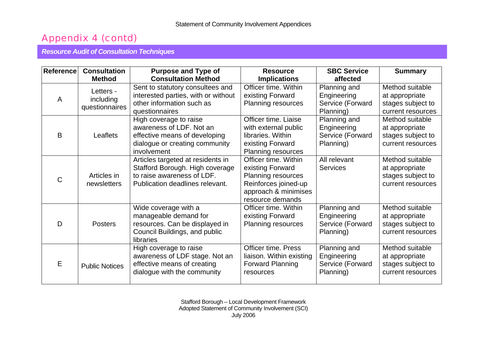## Appendix 4 (contd)

#### *Resource Audit of Consultation Techniques*

| <b>Reference</b> | <b>Consultation</b><br><b>Method</b>     | <b>Purpose and Type of</b><br><b>Consultation Method</b>                                                                              | <b>Resource</b><br><b>Implications</b>                                                                                             | <b>SBC Service</b><br>affected                               | <b>Summary</b>                                                              |
|------------------|------------------------------------------|---------------------------------------------------------------------------------------------------------------------------------------|------------------------------------------------------------------------------------------------------------------------------------|--------------------------------------------------------------|-----------------------------------------------------------------------------|
| $\overline{A}$   | Letters -<br>including<br>questionnaires | Sent to statutory consultees and<br>interested parties, with or without<br>other information such as<br>questionnaires                | Officer time. Within<br>existing Forward<br>Planning resources                                                                     | Planning and<br>Engineering<br>Service (Forward<br>Planning) | Method suitable<br>at appropriate<br>stages subject to<br>current resources |
| B                | Leaflets                                 | High coverage to raise<br>awareness of LDF. Not an<br>effective means of developing<br>dialogue or creating community<br>involvement  | Officer time. Liaise<br>with external public<br>libraries. Within<br>existing Forward<br><b>Planning resources</b>                 | Planning and<br>Engineering<br>Service (Forward<br>Planning) | Method suitable<br>at appropriate<br>stages subject to<br>current resources |
| C                | Articles in<br>newsletters               | Articles targeted at residents in<br>Stafford Borough. High coverage<br>to raise awareness of LDF.<br>Publication deadlines relevant. | Officer time. Within<br>existing Forward<br>Planning resources<br>Reinforces joined-up<br>approach & minimises<br>resource demands | All relevant<br><b>Services</b>                              | Method suitable<br>at appropriate<br>stages subject to<br>current resources |
| D                | <b>Posters</b>                           | Wide coverage with a<br>manageable demand for<br>resources. Can be displayed in<br>Council Buildings, and public<br>libraries         | Officer time. Within<br>existing Forward<br>Planning resources                                                                     | Planning and<br>Engineering<br>Service (Forward<br>Planning) | Method suitable<br>at appropriate<br>stages subject to<br>current resources |
| E                | <b>Public Notices</b>                    | High coverage to raise<br>awareness of LDF stage. Not an<br>effective means of creating<br>dialogue with the community                | <b>Officer time. Press</b><br>liaison. Within existing<br><b>Forward Planning</b><br>resources                                     | Planning and<br>Engineering<br>Service (Forward<br>Planning) | Method suitable<br>at appropriate<br>stages subject to<br>current resources |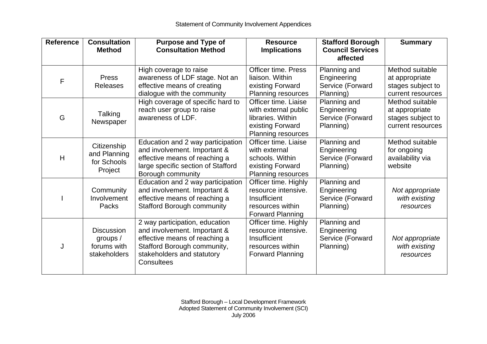| <b>Reference</b> | <b>Consultation</b><br><b>Method</b>                           | <b>Purpose and Type of</b><br><b>Consultation Method</b>                                                                                                                   | <b>Resource</b><br><b>Implications</b>                                                                      | <b>Stafford Borough</b><br><b>Council Services</b><br>affected | <b>Summary</b>                                                              |
|------------------|----------------------------------------------------------------|----------------------------------------------------------------------------------------------------------------------------------------------------------------------------|-------------------------------------------------------------------------------------------------------------|----------------------------------------------------------------|-----------------------------------------------------------------------------|
| F                | Press<br><b>Releases</b>                                       | High coverage to raise<br>awareness of LDF stage. Not an<br>effective means of creating<br>dialogue with the community                                                     | <b>Officer time. Press</b><br>liaison. Within<br>existing Forward<br><b>Planning resources</b>              | Planning and<br>Engineering<br>Service (Forward<br>Planning)   | Method suitable<br>at appropriate<br>stages subject to<br>current resources |
| G                | Talking<br>Newspaper                                           | High coverage of specific hard to<br>reach user group to raise<br>awareness of LDF.                                                                                        | Officer time. Liaise<br>with external public<br>libraries. Within<br>existing Forward<br>Planning resources | Planning and<br>Engineering<br>Service (Forward<br>Planning)   | Method suitable<br>at appropriate<br>stages subject to<br>current resources |
| H                | Citizenship<br>and Planning<br>for Schools<br>Project          | Education and 2 way participation<br>and involvement. Important &<br>effective means of reaching a<br>large specific section of Stafford<br>Borough community              | Officer time. Liaise<br>with external<br>schools. Within<br>existing Forward<br><b>Planning resources</b>   | Planning and<br>Engineering<br>Service (Forward<br>Planning)   | Method suitable<br>for ongoing<br>availability via<br>website               |
|                  | Community<br>Involvement<br>Packs                              | Education and 2 way participation<br>and involvement. Important &<br>effective means of reaching a<br><b>Stafford Borough community</b>                                    | Officer time. Highly<br>resource intensive.<br>Insufficient<br>resources within<br><b>Forward Planning</b>  | Planning and<br>Engineering<br>Service (Forward<br>Planning)   | Not appropriate<br>with existing<br>resources                               |
|                  | <b>Discussion</b><br>groups $/$<br>forums with<br>stakeholders | 2 way participation, education<br>and involvement. Important &<br>effective means of reaching a<br>Stafford Borough community,<br>stakeholders and statutory<br>Consultees | Officer time. Highly<br>resource intensive.<br>Insufficient<br>resources within<br><b>Forward Planning</b>  | Planning and<br>Engineering<br>Service (Forward<br>Planning)   | Not appropriate<br>with existing<br>resources                               |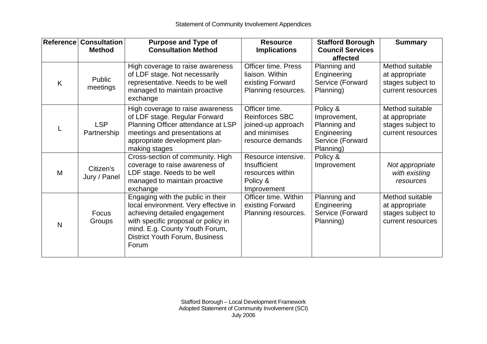|   | <b>Reference Consultation</b><br><b>Method</b> | <b>Purpose and Type of</b><br><b>Consultation Method</b>                                                                                                                                                                              | <b>Resource</b><br><b>Implications</b>                                                            | <b>Stafford Borough</b><br><b>Council Services</b><br>affected                           | <b>Summary</b>                                                              |
|---|------------------------------------------------|---------------------------------------------------------------------------------------------------------------------------------------------------------------------------------------------------------------------------------------|---------------------------------------------------------------------------------------------------|------------------------------------------------------------------------------------------|-----------------------------------------------------------------------------|
| K | Public<br>meetings                             | High coverage to raise awareness<br>of LDF stage. Not necessarily<br>representative. Needs to be well<br>managed to maintain proactive<br>exchange                                                                                    | <b>Officer time. Press</b><br>liaison. Within<br>existing Forward<br>Planning resources.          | Planning and<br>Engineering<br>Service (Forward<br>Planning)                             | Method suitable<br>at appropriate<br>stages subject to<br>current resources |
|   | <b>LSP</b><br>Partnership                      | High coverage to raise awareness<br>of LDF stage. Regular Forward<br>Planning Officer attendance at LSP<br>meetings and presentations at<br>appropriate development plan-<br>making stages                                            | Officer time.<br><b>Reinforces SBC</b><br>joined-up approach<br>and minimises<br>resource demands | Policy &<br>Improvement,<br>Planning and<br>Engineering<br>Service (Forward<br>Planning) | Method suitable<br>at appropriate<br>stages subject to<br>current resources |
| M | Citizen's<br>Jury / Panel                      | Cross-section of community. High<br>coverage to raise awareness of<br>LDF stage. Needs to be well<br>managed to maintain proactive<br>exchange                                                                                        | Resource intensive.<br>Insufficient<br>resources within<br>Policy &<br>Improvement                | Policy &<br>Improvement                                                                  | Not appropriate<br>with existing<br>resources                               |
| N | Focus<br>Groups                                | Engaging with the public in their<br>local environment. Very effective in<br>achieving detailed engagement<br>with specific proposal or policy in<br>mind. E.g. County Youth Forum,<br><b>District Youth Forum, Business</b><br>Forum | Officer time. Within<br>existing Forward<br>Planning resources.                                   | Planning and<br>Engineering<br>Service (Forward<br>Planning)                             | Method suitable<br>at appropriate<br>stages subject to<br>current resources |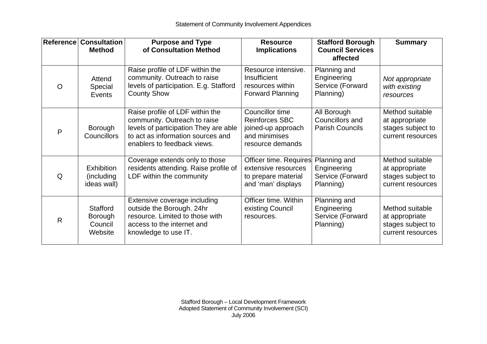|                | <b>Reference Consultation</b><br><b>Method</b>   | <b>Purpose and Type</b><br>of Consultation Method                                                                                                                            | <b>Resource</b><br><b>Implications</b>                                                              | <b>Stafford Borough</b><br><b>Council Services</b><br>affected | <b>Summary</b>                                                              |
|----------------|--------------------------------------------------|------------------------------------------------------------------------------------------------------------------------------------------------------------------------------|-----------------------------------------------------------------------------------------------------|----------------------------------------------------------------|-----------------------------------------------------------------------------|
| $\overline{O}$ | Attend<br>Special<br>Events                      | Raise profile of LDF within the<br>community. Outreach to raise<br>levels of participation. E.g. Stafford<br><b>County Show</b>                                              | Resource intensive.<br>Insufficient<br>resources within<br><b>Forward Planning</b>                  | Planning and<br>Engineering<br>Service (Forward<br>Planning)   | Not appropriate<br>with existing<br>resources                               |
| P              | Borough<br><b>Councillors</b>                    | Raise profile of LDF within the<br>community. Outreach to raise<br>levels of participation They are able<br>to act as information sources and<br>enablers to feedback views. | Councillor time<br><b>Reinforces SBC</b><br>joined-up approach<br>and minimises<br>resource demands | All Borough<br>Councillors and<br><b>Parish Councils</b>       | Method suitable<br>at appropriate<br>stages subject to<br>current resources |
| Q              | <b>Exhibition</b><br>(including<br>ideas wall)   | Coverage extends only to those<br>residents attending. Raise profile of<br>LDF within the community                                                                          | Officer time. Requires<br>extensive resources<br>to prepare material<br>and 'man' displays          | Planning and<br>Engineering<br>Service (Forward<br>Planning)   | Method suitable<br>at appropriate<br>stages subject to<br>current resources |
| R              | <b>Stafford</b><br>Borough<br>Council<br>Website | Extensive coverage including<br>outside the Borough. 24hr<br>resource. Limited to those with<br>access to the internet and<br>knowledge to use IT.                           | Officer time. Within<br>existing Council<br>resources.                                              | Planning and<br>Engineering<br>Service (Forward<br>Planning)   | Method suitable<br>at appropriate<br>stages subject to<br>current resources |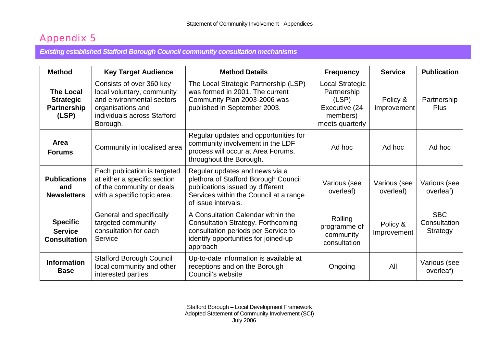## Appendix 5

*Existing established Stafford Borough Council community consultation mechanisms*

| <b>Method</b>                                                | <b>Key Target Audience</b>                                                                                                                          | <b>Method Details</b>                                                                                                                                                       | <b>Frequency</b>                                                                               | <b>Service</b>            | <b>Publication</b>                     |
|--------------------------------------------------------------|-----------------------------------------------------------------------------------------------------------------------------------------------------|-----------------------------------------------------------------------------------------------------------------------------------------------------------------------------|------------------------------------------------------------------------------------------------|---------------------------|----------------------------------------|
| <b>The Local</b><br><b>Strategic</b><br>Partnership<br>(LSP) | Consists of over 360 key<br>local voluntary, community<br>and environmental sectors<br>organisations and<br>individuals across Stafford<br>Borough. | The Local Strategic Partnership (LSP)<br>was formed in 2001. The current<br>Community Plan 2003-2006 was<br>published in September 2003.                                    | <b>Local Strategic</b><br>Partnership<br>(LSP)<br>Executive (24<br>members)<br>meets quarterly | Policy &<br>Improvement   | Partnership<br>Plus                    |
| Area<br><b>Forums</b>                                        | Community in localised area                                                                                                                         | Regular updates and opportunities for<br>community involvement in the LDF<br>process will occur at Area Forums,<br>throughout the Borough.                                  | Ad hoc                                                                                         | Ad hoc                    | Ad hoc                                 |
| <b>Publications</b><br>and<br><b>Newsletters</b>             | Each publication is targeted<br>at either a specific section<br>of the community or deals<br>with a specific topic area.                            | Regular updates and news via a<br>plethora of Stafford Borough Council<br>publications issued by different<br>Services within the Council at a range<br>of issue intervals. | Various (see<br>overleaf)                                                                      | Various (see<br>overleaf) | Various (see<br>overleaf)              |
| <b>Specific</b><br><b>Service</b><br><b>Consultation</b>     | General and specifically<br>targeted community<br>consultation for each<br>Service                                                                  | A Consultation Calendar within the<br><b>Consultation Strategy. Forthcoming</b><br>consultation periods per Service to<br>identify opportunities for joined-up<br>approach  | Rolling<br>programme of<br>community<br>consultation                                           | Policy &<br>Improvement   | <b>SBC</b><br>Consultation<br>Strategy |
| <b>Information</b><br><b>Base</b>                            | <b>Stafford Borough Council</b><br>local community and other<br>interested parties                                                                  | Up-to-date information is available at<br>receptions and on the Borough<br>Council's website                                                                                | Ongoing                                                                                        | All                       | Various (see<br>overleaf)              |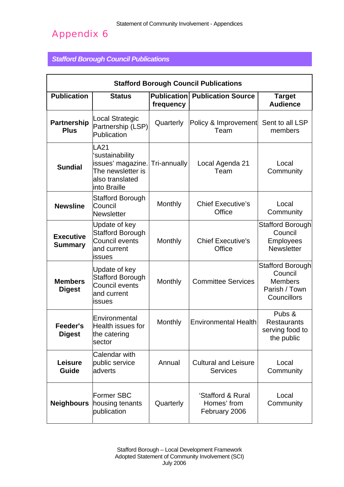## Appendix 6

#### *Stafford Borough Council Publications*

| <b>Stafford Borough Council Publications</b> |                                                                                                                          |           |                                                   |                                                                                      |  |
|----------------------------------------------|--------------------------------------------------------------------------------------------------------------------------|-----------|---------------------------------------------------|--------------------------------------------------------------------------------------|--|
| <b>Publication</b>                           | <b>Status</b>                                                                                                            | frequency | <b>Publication Publication Source</b>             | <b>Target</b><br><b>Audience</b>                                                     |  |
| <b>Partnership</b><br><b>Plus</b>            | Local Strategic<br>Partnership (LSP)<br>Publication                                                                      | Quarterly | Policy & Improvement<br>Team                      | Sent to all LSP<br>members                                                           |  |
| <b>Sundial</b>                               | <b>LA21</b><br>'sustainability<br>issues' magazine. Tri-annually<br>The newsletter is<br>also translated<br>into Braille |           | Local Agenda 21<br>Team                           | Local<br>Community                                                                   |  |
| <b>Newsline</b>                              | <b>Stafford Borough</b><br>Council<br><b>Newsletter</b>                                                                  | Monthly   | <b>Chief Executive's</b><br>Office                | Local<br>Community                                                                   |  |
| <b>Executive</b><br><b>Summary</b>           | Update of key<br><b>Stafford Borough</b><br>Council events<br>and current<br>issues                                      | Monthly   | <b>Chief Executive's</b><br>Office                | <b>Stafford Borough</b><br>Council<br>Employees<br><b>Newsletter</b>                 |  |
| <b>Members</b><br><b>Digest</b>              | Update of key<br><b>Stafford Borough</b><br>Council events<br>and current<br><b>issues</b>                               | Monthly   | <b>Committee Services</b>                         | <b>Stafford Borough</b><br>Council<br><b>Members</b><br>Parish / Town<br>Councillors |  |
| <b>Feeder's</b><br><b>Digest</b>             | Environmental<br>Health issues for<br>the catering<br>sector                                                             | Monthly   | <b>Environmental Health</b>                       | Pubs &<br><b>Restaurants</b><br>serving food to<br>the public                        |  |
| <b>Leisure</b><br>Guide                      | Calendar with<br>public service<br>adverts                                                                               | Annual    | <b>Cultural and Leisure</b><br><b>Services</b>    | Local<br>Community                                                                   |  |
| <b>Neighbours</b>                            | Former SBC<br>housing tenants<br>publication                                                                             | Quarterly | 'Stafford & Rural<br>Homes' from<br>February 2006 | Local<br>Community                                                                   |  |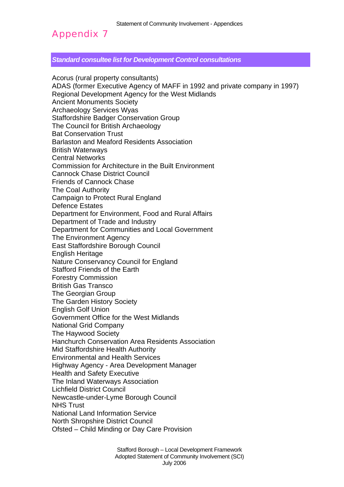Statement of Community Involvement - Appendices

## Appendix 7

*Standard consultee list for Development Control consultations* 

Acorus (rural property consultants) ADAS (former Executive Agency of MAFF in 1992 and private company in 1997) Regional Development Agency for the West Midlands Ancient Monuments Society Archaeology Services Wyas Staffordshire Badger Conservation Group The Council for British Archaeology Bat Conservation Trust Barlaston and Meaford Residents Association British Waterways Central Networks Commission for Architecture in the Built Environment Cannock Chase District Council Friends of Cannock Chase The Coal Authority Campaign to Protect Rural England Defence Estates Department for Environment, Food and Rural Affairs Department of Trade and Industry Department for Communities and Local Government The Environment Agency East Staffordshire Borough Council English Heritage Nature Conservancy Council for England Stafford Friends of the Earth Forestry Commission British Gas Transco The Georgian Group The Garden History Society English Golf Union Government Office for the West Midlands National Grid Company The Haywood Society Hanchurch Conservation Area Residents Association Mid Staffordshire Health Authority Environmental and Health Services Highway Agency - Area Development Manager Health and Safety Executive The Inland Waterways Association Lichfield District Council Newcastle-under-Lyme Borough Council NHS Trust National Land Information Service North Shropshire District Council Ofsted – Child Minding or Day Care Provision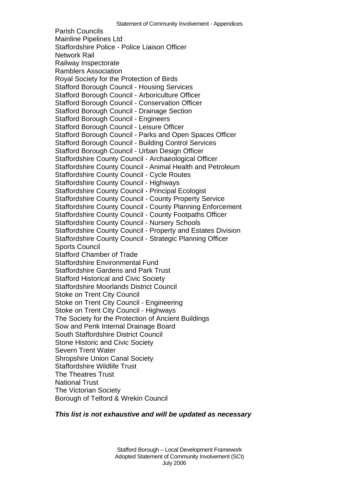Parish Councils Mainline Pipelines Ltd Staffordshire Police - Police Liaison Officer Network Rail Railway Inspectorate Ramblers Association Royal Society for the Protection of Birds Stafford Borough Council - Housing Services Stafford Borough Council - Arboriculture Officer Stafford Borough Council - Conservation Officer Stafford Borough Council - Drainage Section Stafford Borough Council - Engineers Stafford Borough Council - Leisure Officer Stafford Borough Council - Parks and Open Spaces Officer Stafford Borough Council - Building Control Services Stafford Borough Council - Urban Design Officer Staffordshire County Council - Archaeological Officer Staffordshire County Council - Animal Health and Petroleum Staffordshire County Council - Cycle Routes Staffordshire County Council - Highways Staffordshire County Council - Principal Ecologist Staffordshire County Council - County Property Service Staffordshire County Council - County Planning Enforcement Staffordshire County Council - County Footpaths Officer Staffordshire County Council - Nursery Schools Staffordshire County Council - Property and Estates Division Staffordshire County Council - Strategic Planning Officer Sports Council Stafford Chamber of Trade Staffordshire Environmental Fund Staffordshire Gardens and Park Trust Stafford Historical and Civic Society Staffordshire Moorlands District Council Stoke on Trent City Council Stoke on Trent City Council - Engineering Stoke on Trent City Council - Highways The Society for the Protection of Ancient Buildings Sow and Penk Internal Drainage Board South Staffordshire District Council Stone Historic and Civic Society Severn Trent Water Shropshire Union Canal Society Staffordshire Wildlife Trust The Theatres Trust National Trust The Victorian Society Borough of Telford & Wrekin Council

#### *This list is not exhaustive and will be updated as necessary*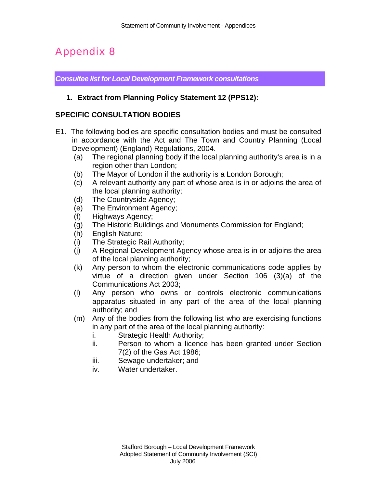## Appendix 8

*Consultee list for Local Development Framework consultations* 

#### **1. Extract from Planning Policy Statement 12 (PPS12):**

#### **SPECIFIC CONSULTATION BODIES**

- E1. The following bodies are specific consultation bodies and must be consulted in accordance with the Act and The Town and Country Planning (Local Development) (England) Regulations, 2004.
	- (a) The regional planning body if the local planning authority's area is in a region other than London;
	- (b) The Mayor of London if the authority is a London Borough;
	- (c) A relevant authority any part of whose area is in or adjoins the area of the local planning authority;
	- (d) The Countryside Agency;
	- (e) The Environment Agency;
	- (f) Highways Agency;
	- (g) The Historic Buildings and Monuments Commission for England;
	- (h) English Nature;
	- (i) The Strategic Rail Authority;
	- (j) A Regional Development Agency whose area is in or adjoins the area of the local planning authority;
	- (k) Any person to whom the electronic communications code applies by virtue of a direction given under Section 106 (3)(a) of the Communications Act 2003;
	- (l) Any person who owns or controls electronic communications apparatus situated in any part of the area of the local planning authority; and
	- (m) Any of the bodies from the following list who are exercising functions in any part of the area of the local planning authority:
		- i. Strategic Health Authority;
		- ii. Person to whom a licence has been granted under Section 7(2) of the Gas Act 1986;
		- iii. Sewage undertaker; and
		- iv. Water undertaker.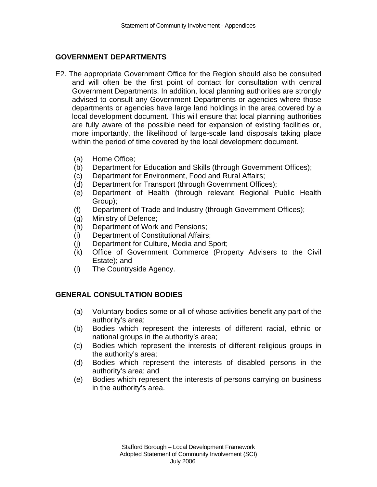#### **GOVERNMENT DEPARTMENTS**

- E2. The appropriate Government Office for the Region should also be consulted and will often be the first point of contact for consultation with central Government Departments. In addition, local planning authorities are strongly advised to consult any Government Departments or agencies where those departments or agencies have large land holdings in the area covered by a local development document. This will ensure that local planning authorities are fully aware of the possible need for expansion of existing facilities or, more importantly, the likelihood of large-scale land disposals taking place within the period of time covered by the local development document.
	- (a) Home Office;
	- (b) Department for Education and Skills (through Government Offices);
	- (c) Department for Environment, Food and Rural Affairs;
	- (d) Department for Transport (through Government Offices);
	- (e) Department of Health (through relevant Regional Public Health Group);
	- (f) Department of Trade and Industry (through Government Offices);
	- (g) Ministry of Defence;
	- (h) Department of Work and Pensions;
	- (i) Department of Constitutional Affairs;
	- (j) Department for Culture, Media and Sport;
	- (k) Office of Government Commerce (Property Advisers to the Civil Estate); and
	- (l) The Countryside Agency.

#### **GENERAL CONSULTATION BODIES**

- (a) Voluntary bodies some or all of whose activities benefit any part of the authority's area;
- (b) Bodies which represent the interests of different racial, ethnic or national groups in the authority's area;
- (c) Bodies which represent the interests of different religious groups in the authority's area;
- (d) Bodies which represent the interests of disabled persons in the authority's area; and
- (e) Bodies which represent the interests of persons carrying on business in the authority's area.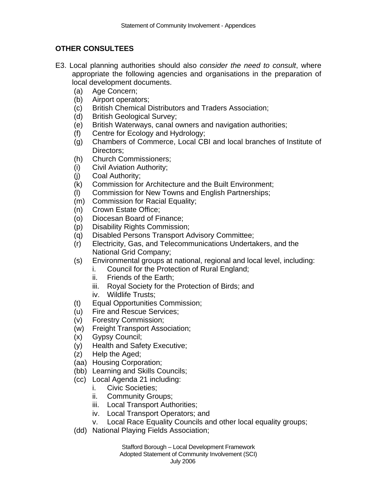#### **OTHER CONSULTEES**

- E3. Local planning authorities should also *consider the need to consult*, where appropriate the following agencies and organisations in the preparation of local development documents.
	- (a) Age Concern;
	- (b) Airport operators;
	- (c) British Chemical Distributors and Traders Association;
	- (d) British Geological Survey;
	- (e) British Waterways, canal owners and navigation authorities;
	- (f) Centre for Ecology and Hydrology;
	- (g) Chambers of Commerce, Local CBI and local branches of Institute of Directors:
	- (h) Church Commissioners;
	- (i) Civil Aviation Authority;
	- (j) Coal Authority;
	- (k) Commission for Architecture and the Built Environment;
	- (l) Commission for New Towns and English Partnerships;
	- (m) Commission for Racial Equality;
	- (n) Crown Estate Office;
	- (o) Diocesan Board of Finance;
	- (p) Disability Rights Commission;
	- (q) Disabled Persons Transport Advisory Committee;
	- (r) Electricity, Gas, and Telecommunications Undertakers, and the National Grid Company;
	- (s) Environmental groups at national, regional and local level, including:
		- i. Council for the Protection of Rural England;
		- ii. Friends of the Earth;
		- iii. Royal Society for the Protection of Birds; and
		- iv. Wildlife Trusts;
	- (t) Equal Opportunities Commission;
	- (u) Fire and Rescue Services;
	- (v) Forestry Commission;
	- (w) Freight Transport Association;
	- (x) Gypsy Council;
	- (y) Health and Safety Executive;
	- (z) Help the Aged;
	- (aa) Housing Corporation;
	- (bb) Learning and Skills Councils;
	- (cc) Local Agenda 21 including:
		- i. Civic Societies;
		- ii. Community Groups;
		- iii. Local Transport Authorities;
		- iv. Local Transport Operators; and
		- v. Local Race Equality Councils and other local equality groups;
	- (dd) National Playing Fields Association;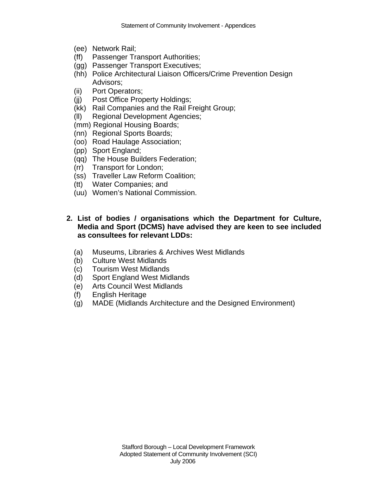- (ee) Network Rail;
- (ff) Passenger Transport Authorities;
- (gg) Passenger Transport Executives;
- (hh) Police Architectural Liaison Officers/Crime Prevention Design Advisors;
- (ii) Port Operators;
- (ii) Post Office Property Holdings;
- (kk) Rail Companies and the Rail Freight Group;
- (ll) Regional Development Agencies;
- (mm) Regional Housing Boards;
- (nn) Regional Sports Boards;
- (oo) Road Haulage Association;
- (pp) Sport England;
- (qq) The House Builders Federation;
- (rr) Transport for London;
- (ss) Traveller Law Reform Coalition;
- (tt) Water Companies; and
- (uu) Women's National Commission.

#### **2. List of bodies / organisations which the Department for Culture, Media and Sport (DCMS) have advised they are keen to see included as consultees for relevant LDDs:**

- (a) Museums, Libraries & Archives West Midlands
- (b) Culture West Midlands
- (c) Tourism West Midlands
- (d) Sport England West Midlands
- (e) Arts Council West Midlands
- (f) English Heritage
- (g) MADE (Midlands Architecture and the Designed Environment)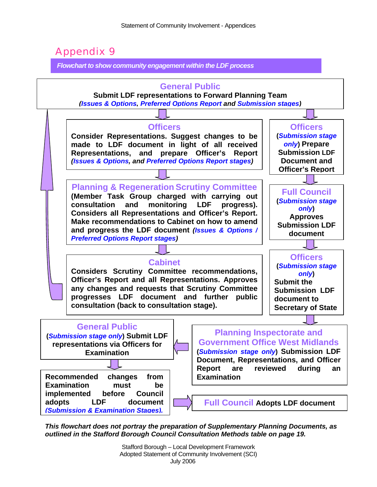## Appendix 9

 *Flowchart to show community engagement within the LDF process* 



*This flowchart does not portray the preparation of Supplementary Planning Documents, as outlined in the Stafford Borough Council Consultation Methods table on page 19.*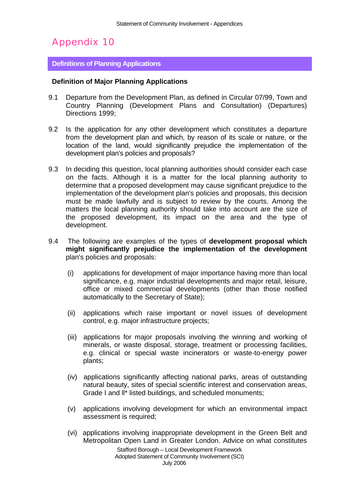## Appendix 10

#### **Definitions of Planning Applications**

#### **Definition of Major Planning Applications**

- 9.1 Departure from the Development Plan, as defined in Circular 07/99, Town and Country Planning (Development Plans and Consultation) (Departures) Directions 1999;
- 9.2 Is the application for any other development which constitutes a departure from the development plan and which, by reason of its scale or nature, or the location of the land, would significantly prejudice the implementation of the development plan's policies and proposals?
- 9.3 In deciding this question, local planning authorities should consider each case on the facts. Although it is a matter for the local planning authority to determine that a proposed development may cause significant prejudice to the implementation of the development plan's policies and proposals, this decision must be made lawfully and is subject to review by the courts. Among the matters the local planning authority should take into account are the size of the proposed development, its impact on the area and the type of development.
- 9.4 The following are examples of the types of **development proposal which might significantly prejudice the implementation of the development** plan's policies and proposals:
	- (i) applications for development of major importance having more than local significance, e.g. major industrial developments and major retail, leisure, office or mixed commercial developments (other than those notified automatically to the Secretary of State);
	- (ii) applications which raise important or novel issues of development control, e.g. major infrastructure projects;
	- (iii) applications for major proposals involving the winning and working of minerals, or waste disposal, storage, treatment or processing facilities, e.g. clinical or special waste incinerators or waste-to-energy power plants;
	- (iv) applications significantly affecting national parks, areas of outstanding natural beauty, sites of special scientific interest and conservation areas, Grade I and ll\* listed buildings, and scheduled monuments;
	- (v) applications involving development for which an environmental impact assessment is required;
	- (vi) applications involving inappropriate development in the Green Belt and Metropolitan Open Land in Greater London. Advice on what constitutes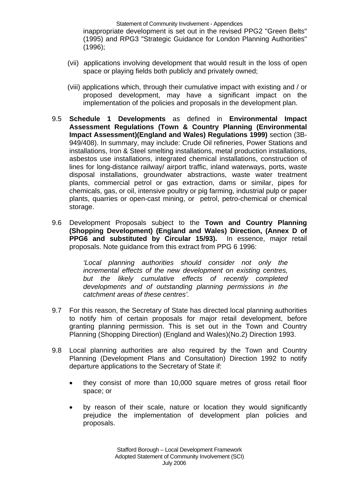Statement of Community Involvement - Appendices inappropriate development is set out in the revised PPG2 "Green Belts" (1995) and RPG3 "Strategic Guidance for London Planning Authorities" (1996);

- (vii) applications involving development that would result in the loss of open space or playing fields both publicly and privately owned;
- (viii) applications which, through their cumulative impact with existing and / or proposed development, may have a significant impact on the implementation of the policies and proposals in the development plan.
- 9.5 **Schedule 1 Developments** as defined in **Environmental Impact Assessment Regulations (Town & Country Planning (Environmental Impact Assessment)(England and Wales) Regulations 1999)** section (3B-949/408). In summary, may include: Crude Oil refineries, Power Stations and installations, Iron & Steel smelting installations, metal production installations, asbestos use installations, integrated chemical installations, construction of lines for long-distance railway/ airport traffic, inland waterways, ports, waste disposal installations, groundwater abstractions, waste water treatment plants, commercial petrol or gas extraction, dams or similar, pipes for chemicals, gas, or oil, intensive poultry or pig farming, industrial pulp or paper plants, quarries or open-cast mining, or petrol, petro-chemical or chemical storage.
- 9.6 Development Proposals subject to the **Town and Country Planning (Shopping Development) (England and Wales) Direction, (Annex D of PPG6 and substituted by Circular 15/93).** In essence, major retail proposals. Note guidance from this extract from PPG 6 1996:

*'Local planning authorities should consider not only the incremental effects of the new development on existing centres, but the likely cumulative effects of recently completed developments and of outstanding planning permissions in the catchment areas of these centres'.* 

- 9.7 For this reason, the Secretary of State has directed local planning authorities to notify him of certain proposals for major retail development, before granting planning permission. This is set out in the Town and Country Planning (Shopping Direction) (England and Wales)(No.2) Direction 1993.
- 9.8 Local planning authorities are also required by the Town and Country Planning (Development Plans and Consultation) Direction 1992 to notify departure applications to the Secretary of State if:
	- they consist of more than 10,000 square metres of gross retail floor space; or
	- by reason of their scale, nature or location they would significantly prejudice the implementation of development plan policies and proposals.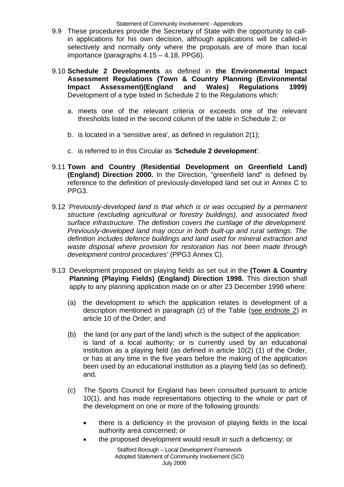Statement of Community Involvement - Appendices

- 9.9 These procedures provide the Secretary of State with the opportunity to callin applications for his own decision, although applications will be called-in selectively and normally only where the proposals are of more than local importance (paragraphs 4.15 – 4.18, PPG6).
- 9.10 **Schedule 2 Developments** as defined in **the Environmental Impact Assessment Regulations (Town & Country Planning (Environmental Impact Assessment)(England and Wales) Regulations 1999)**  Development of a type listed in Schedule 2 to the Regulations which:
	- a. meets one of the relevant criteria or exceeds one of the relevant thresholds listed in the second column of the table in Schedule 2; or
	- b. is located in a 'sensitive area', as defined in regulation 2(1);
	- c. is referred to in this Circular as '**Schedule 2 development**'.
- 9.11 **Town and Country (Residential Development on Greenfield Land) (England) Direction 2000.** In the Direction, "greenfield land" is defined by reference to the definition of previously-developed land set out in Annex C to PPG3.
- 9.12 '*Previously-developed land is that which is or was occupied by a permanent structure (excluding agricultural or forestry buildings), and associated fixed surface infrastructure. The definition covers the curtilage of the development. Previously-developed land may occur in both built-up and rural settings. The definition includes defence buildings and land used for mineral extraction and waste disposal where provision for restoration has not been made through development control procedures'* (PPG3 Annex C).
- 9.13 Development proposed on playing fields as set out in the **(Town & Country Planning (Playing Fields) (England) Direction 1998.** This direction shall apply to any planning application made on or after 23 December 1998 where:
	- (a) the development to which the application relates is development of a description mentioned in paragraph (z) of the Table (see endnote 2) in article 10 of the Order; and
	- (b) the land (or any part of the land) which is the subject of the application: is land of a local authority; or is currently used by an educational institution as a playing field (as defined in article 10(2) (1) of the Order, or has at any time in the five years before the making of the application been used by an educational institution as a playing field (as so defined); and,
	- (c) The Sports Council for England has been consulted pursuant to article 10(1), and has made representations objecting to the whole or part of the development on one or more of the following grounds:
		- there is a deficiency in the provision of playing fields in the local authority area concerned; or
		- the proposed development would result in such a deficiency; or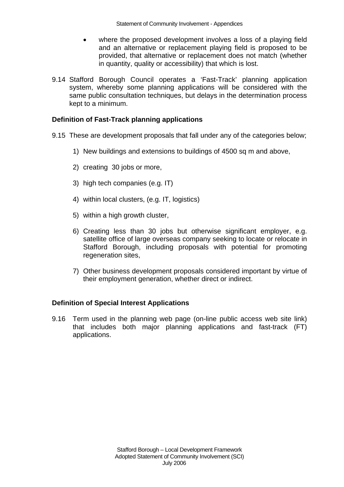- where the proposed development involves a loss of a playing field and an alternative or replacement playing field is proposed to be provided, that alternative or replacement does not match (whether in quantity, quality or accessibility) that which is lost.
- 9.14 Stafford Borough Council operates a 'Fast-Track' planning application system, whereby some planning applications will be considered with the same public consultation techniques, but delays in the determination process kept to a minimum.

#### **Definition of Fast-Track planning applications**

- 9.15 These are development proposals that fall under any of the categories below;
	- 1) New buildings and extensions to buildings of 4500 sq m and above,
	- 2) creating 30 jobs or more.
	- 3) high tech companies (e.g. IT)
	- 4) within local clusters, (e.g. IT, logistics)
	- 5) within a high growth cluster,
	- 6) Creating less than 30 jobs but otherwise significant employer, e.g. satellite office of large overseas company seeking to locate or relocate in Stafford Borough, including proposals with potential for promoting regeneration sites,
	- 7) Other business development proposals considered important by virtue of their employment generation, whether direct or indirect.

#### **Definition of Special Interest Applications**

9.16 Term used in the planning web page (on-line public access web site link) that includes both major planning applications and fast-track (FT) applications.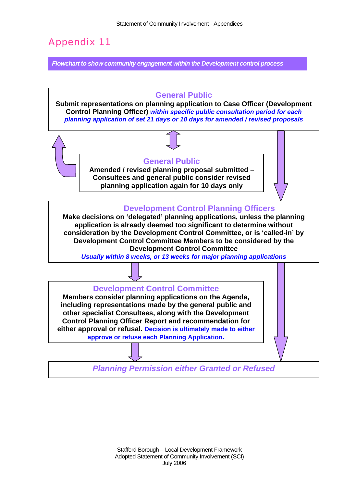## Appendix 11

*Flowchart to show community engagement within the Development control process* 

#### **General Public**

**Submit representations on planning application to Case Officer (Development Control Planning Officer)** *within specific public consultation period for each planning application of set 21 days or 10 days for amended / revised proposals* 

## **General Public**

**Amended / revised planning proposal submitted – Consultees and general public consider revised planning application again for 10 days only**

#### **Development Control Planning Officers**

 **Development Control Committee Members to be considered by the Make decisions on 'delegated' planning applications, unless the planning application is already deemed too significant to determine without consideration by the Development Control Committee, or is 'called-in' by Development Control Committee** 

*Usually within 8 weeks, or 13 weeks for major planning applications* 

## **Development Control Committee Members consider planning applications on the Agenda, including representations made by the general public and other specialist Consultees, along with the Development Control Planning Officer Report and recommendation for either approval or refusal. Decision is ultimately made to either approve or refuse each Planning Application.**

*Planning Permission either Granted or Refused*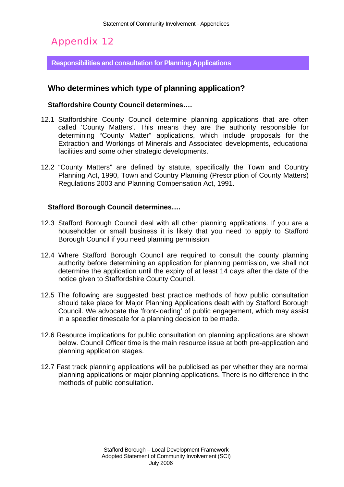## Appendix 12

**Responsibilities and consultation for Planning Applications** 

#### **Who determines which type of planning application?**

#### **Staffordshire County Council determines….**

- 12.1 Staffordshire County Council determine planning applications that are often called 'County Matters'. This means they are the authority responsible for determining "County Matter" applications, which include proposals for the Extraction and Workings of Minerals and Associated developments, educational facilities and some other strategic developments.
- 12.2 "County Matters" are defined by statute, specifically the Town and Country Planning Act, 1990, Town and Country Planning (Prescription of County Matters) Regulations 2003 and Planning Compensation Act, 1991.

#### **Stafford Borough Council determines….**

- 12.3 Stafford Borough Council deal with all other planning applications. If you are a householder or small business it is likely that you need to apply to Stafford Borough Council if you need planning permission.
- 12.4 Where Stafford Borough Council are required to consult the county planning authority before determining an application for planning permission, we shall not determine the application until the expiry of at least 14 days after the date of the notice given to Staffordshire County Council.
- 12.5 The following are suggested best practice methods of how public consultation should take place for Major Planning Applications dealt with by Stafford Borough Council. We advocate the 'front-loading' of public engagement, which may assist in a speedier timescale for a planning decision to be made.
- 12.6 Resource implications for public consultation on planning applications are shown below. Council Officer time is the main resource issue at both pre-application and planning application stages.
- 12.7 Fast track planning applications will be publicised as per whether they are normal planning applications or major planning applications. There is no difference in the methods of public consultation.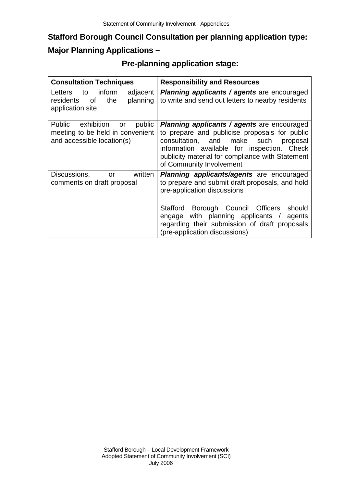## **Stafford Borough Council Consultation per planning application type: Major Planning Applications –**

| <b>Consultation Techniques</b>                                                                   | <b>Responsibility and Resources</b>                                                                                                                                                                                                                                        |
|--------------------------------------------------------------------------------------------------|----------------------------------------------------------------------------------------------------------------------------------------------------------------------------------------------------------------------------------------------------------------------------|
| adjacent<br>Letters to inform<br>residents<br>of<br>planning<br>the<br>application site          | <b>Planning applicants / agents</b> are encouraged<br>to write and send out letters to nearby residents                                                                                                                                                                    |
| Public exhibition or<br>public<br>meeting to be held in convenient<br>and accessible location(s) | <b>Planning applicants / agents</b> are encouraged<br>to prepare and publicise proposals for public<br>consultation, and make such proposal<br>information available for inspection. Check<br>publicity material for compliance with Statement<br>of Community Involvement |
| written<br>Discussions,<br><b>or</b><br>comments on draft proposal                               | <b>Planning applicants/agents are encouraged</b><br>to prepare and submit draft proposals, and hold<br>pre-application discussions                                                                                                                                         |
|                                                                                                  | Stafford Borough Council Officers<br>should<br>engage with planning applicants /<br>agents<br>regarding their submission of draft proposals<br>(pre-application discussions)                                                                                               |

## **Pre-planning application stage:**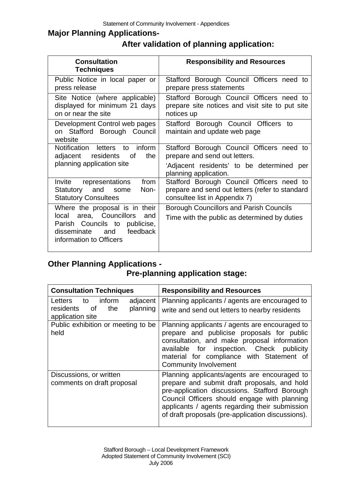## **Major Planning Applications-**

## **After validation of planning application:**

| <b>Consultation</b><br><b>Techniques</b>                                                                                                                    | <b>Responsibility and Resources</b>                                                                                                              |
|-------------------------------------------------------------------------------------------------------------------------------------------------------------|--------------------------------------------------------------------------------------------------------------------------------------------------|
| Public Notice in local paper or<br>press release                                                                                                            | Stafford Borough Council Officers need to<br>prepare press statements                                                                            |
| Site Notice (where applicable)<br>displayed for minimum 21 days<br>on or near the site                                                                      | Stafford Borough Council Officers need to<br>prepare site notices and visit site to put site<br>notices up                                       |
| Development Control web pages<br>on Stafford Borough Council<br>website                                                                                     | Stafford Borough Council Officers to<br>maintain and update web page                                                                             |
| inform<br>Notification letters<br>to<br>adjacent residents<br>the<br>of<br>planning application site                                                        | Stafford Borough Council Officers need to<br>prepare and send out letters.<br>'Adjacent residents' to be determined per<br>planning application. |
| from<br>Invite<br>representations<br>Statutory and<br>Non-<br>some<br><b>Statutory Consultees</b>                                                           | Stafford Borough Council Officers need to<br>prepare and send out letters (refer to standard<br>consultee list in Appendix 7)                    |
| Where the proposal is in their<br>local area, Councillors and<br>Parish Councils to<br>publicise,<br>feedback<br>disseminate and<br>information to Officers | <b>Borough Councillors and Parish Councils</b><br>Time with the public as determined by duties                                                   |

## **Other Planning Applications - Pre-planning application stage:**

| <b>Consultation Techniques</b>                         | <b>Responsibility and Resources</b>                                                                                                                                                                                                                                                                  |
|--------------------------------------------------------|------------------------------------------------------------------------------------------------------------------------------------------------------------------------------------------------------------------------------------------------------------------------------------------------------|
| adjacent<br>Letters to inform                          | Planning applicants / agents are encouraged to                                                                                                                                                                                                                                                       |
| planning<br>residents<br>the<br>Ωf<br>application site | write and send out letters to nearby residents                                                                                                                                                                                                                                                       |
| Public exhibition or meeting to be<br>held             | Planning applicants / agents are encouraged to<br>prepare and publicise proposals for public<br>consultation, and make proposal information<br>available for inspection. Check publicity<br>material for compliance with Statement of<br><b>Community Involvement</b>                                |
| Discussions, or written<br>comments on draft proposal  | Planning applicants/agents are encouraged to<br>prepare and submit draft proposals, and hold<br>pre-application discussions. Stafford Borough<br>Council Officers should engage with planning<br>applicants / agents regarding their submission<br>of draft proposals (pre-application discussions). |